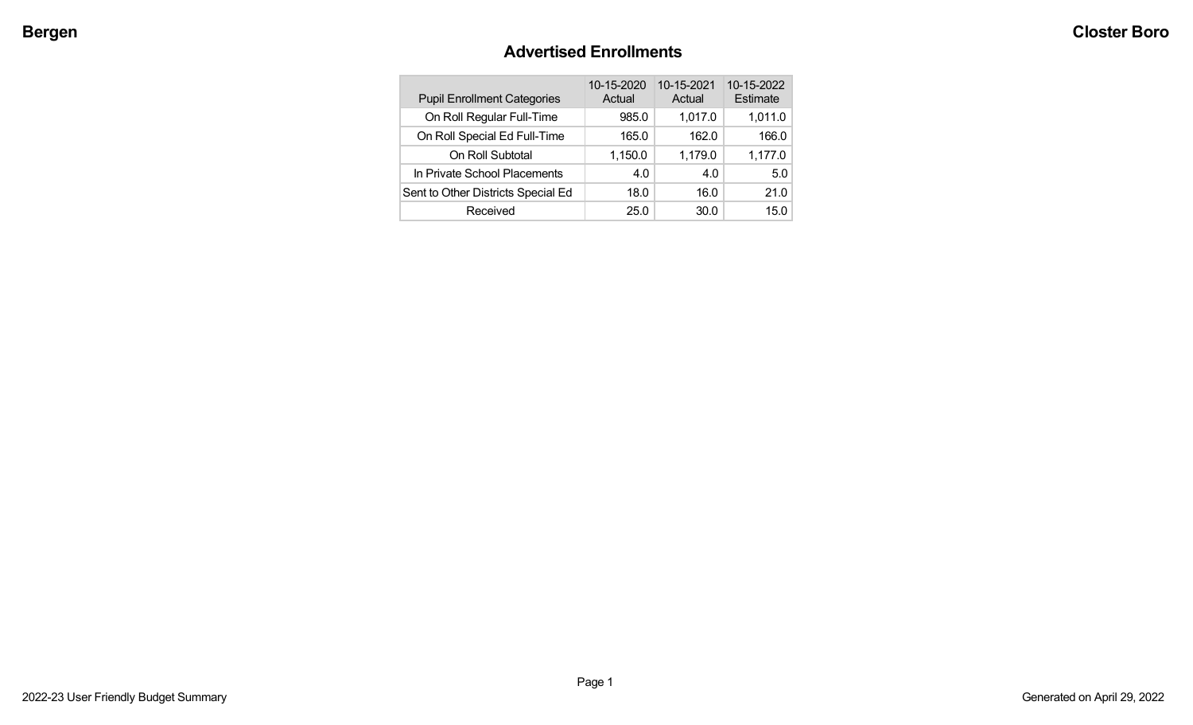## **Advertised Enrollments**

| <b>Pupil Enrollment Categories</b> | 10-15-2020<br>Actual | 10-15-2021<br>Actual | 10-15-2022<br>Estimate |
|------------------------------------|----------------------|----------------------|------------------------|
| On Roll Regular Full-Time          | 985.0                | 1,017.0              | 1,011.0                |
| On Roll Special Ed Full-Time       | 165.0                | 162.0                | 166.0                  |
| On Roll Subtotal                   | 1,150.0              | 1,179.0              | 1,177.0                |
| In Private School Placements       | 4.0                  | 4.0                  | 5.0                    |
| Sent to Other Districts Special Ed | 18.0                 | 16.0                 | 21.0                   |
| Received                           | 25.0                 | 30.0                 | 15.0                   |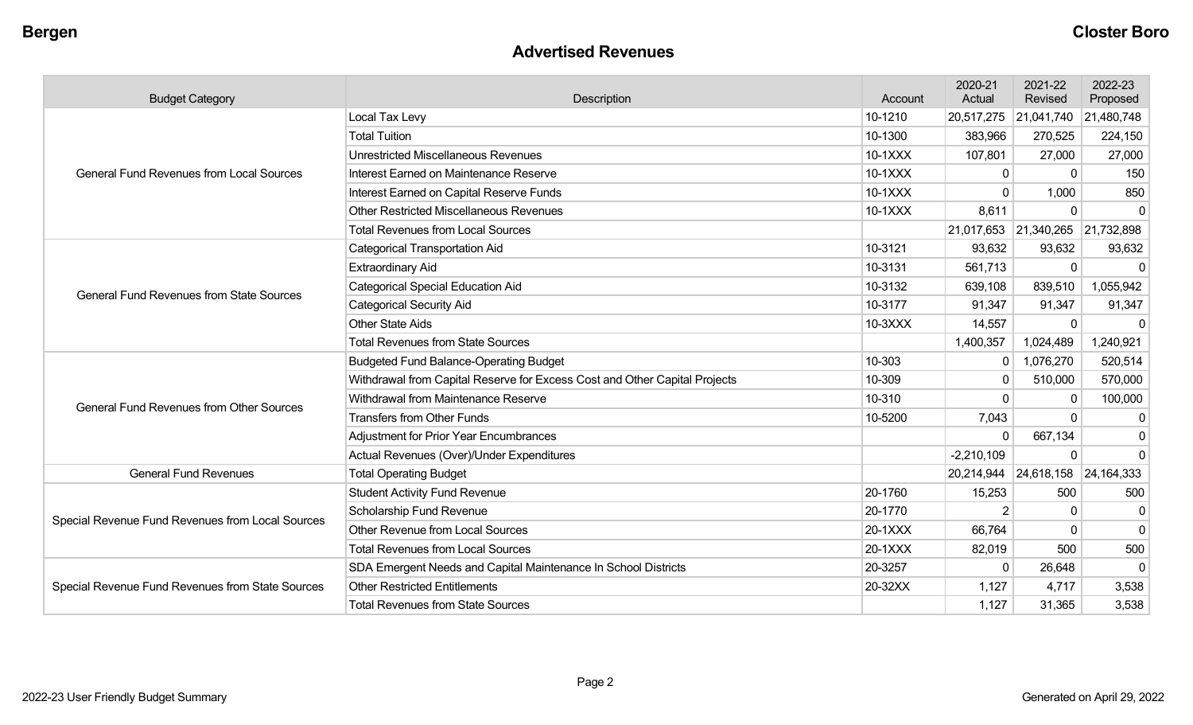#### **Advertised Revenues**

| <b>Budget Category</b>                           | Description                                                                |         | 2020-21<br>Actual | 2021-22<br>Revised    | 2022-23<br>Proposed |
|--------------------------------------------------|----------------------------------------------------------------------------|---------|-------------------|-----------------------|---------------------|
|                                                  | Local Tax Levy                                                             | 10-1210 | 20,517,275        | 21,041,740 21,480,748 |                     |
|                                                  | <b>Total Tuition</b>                                                       | 10-1300 | 383,966           | 270,525               | 224,150             |
|                                                  | <b>Unrestricted Miscellaneous Revenues</b>                                 | 10-1XXX | 107,801           | 27,000                | 27,000              |
| <b>General Fund Revenues from Local Sources</b>  | Interest Earned on Maintenance Reserve                                     | 10-1XXX | $\mathbf 0$       | $\Omega$              | 150                 |
|                                                  | Interest Earned on Capital Reserve Funds                                   | 10-1XXX | $\Omega$          | 1,000                 | 850                 |
|                                                  | <b>Other Restricted Miscellaneous Revenues</b>                             | 10-1XXX | 8,611             | 0                     | $\Omega$            |
|                                                  | <b>Total Revenues from Local Sources</b>                                   |         | 21,017,653        | 21,340,265 21,732,898 |                     |
|                                                  | <b>Categorical Transportation Aid</b>                                      | 10-3121 | 93,632            | 93,632                | 93,632              |
|                                                  | <b>Extraordinary Aid</b>                                                   | 10-3131 | 561,713           | $\mathbf{0}$          | $\Omega$            |
| <b>General Fund Revenues from State Sources</b>  | <b>Categorical Special Education Aid</b>                                   | 10-3132 | 639,108           | 839,510               | 1,055,942           |
|                                                  | <b>Categorical Security Aid</b>                                            | 10-3177 | 91,347            | 91,347                | 91,347              |
|                                                  | <b>Other State Aids</b>                                                    | 10-3XXX | 14,557            | $\mathbf{0}$          | $\mathbf{0}$        |
|                                                  | <b>Total Revenues from State Sources</b>                                   |         | 1,400,357         | 1,024,489             | 1,240,921           |
|                                                  | <b>Budgeted Fund Balance-Operating Budget</b>                              | 10-303  | $\overline{0}$    | 1,076,270             | 520,514             |
|                                                  | Withdrawal from Capital Reserve for Excess Cost and Other Capital Projects | 10-309  | $\mathbf{0}$      | 510,000               | 570,000             |
| <b>General Fund Revenues from Other Sources</b>  | Withdrawal from Maintenance Reserve                                        | 10-310  | $\Omega$          | $\mathbf{0}$          | 100,000             |
|                                                  | <b>Transfers from Other Funds</b>                                          | 10-5200 | 7,043             | 0                     | $\Omega$            |
|                                                  | <b>Adjustment for Prior Year Encumbrances</b>                              |         | 0                 | 667,134               | $\Omega$            |
|                                                  | Actual Revenues (Over)/Under Expenditures                                  |         | $-2,210,109$      | $\Omega$              | $\Omega$            |
| <b>General Fund Revenues</b>                     | <b>Total Operating Budget</b>                                              |         | 20,214,944        | 24,618,158 24,164,333 |                     |
|                                                  | <b>Student Activity Fund Revenue</b>                                       | 20-1760 | 15,253            | 500                   | 500                 |
| Special Revenue Fund Revenues from Local Sources | Scholarship Fund Revenue                                                   | 20-1770 | 2                 | 0                     | $\mathbf{0}$        |
|                                                  | <b>Other Revenue from Local Sources</b>                                    | 20-1XXX | 66,764            | 0                     | $\Omega$            |
|                                                  | <b>Total Revenues from Local Sources</b>                                   | 20-1XXX | 82,019            | 500                   | 500                 |
|                                                  | SDA Emergent Needs and Capital Maintenance In School Districts             | 20-3257 | $\Omega$          | 26,648                | $\Omega$            |
| Special Revenue Fund Revenues from State Sources | <b>Other Restricted Entitlements</b>                                       | 20-32XX | 1,127             | 4,717                 | 3,538               |
|                                                  | <b>Total Revenues from State Sources</b>                                   |         | 1,127             | 31,365                | 3,538               |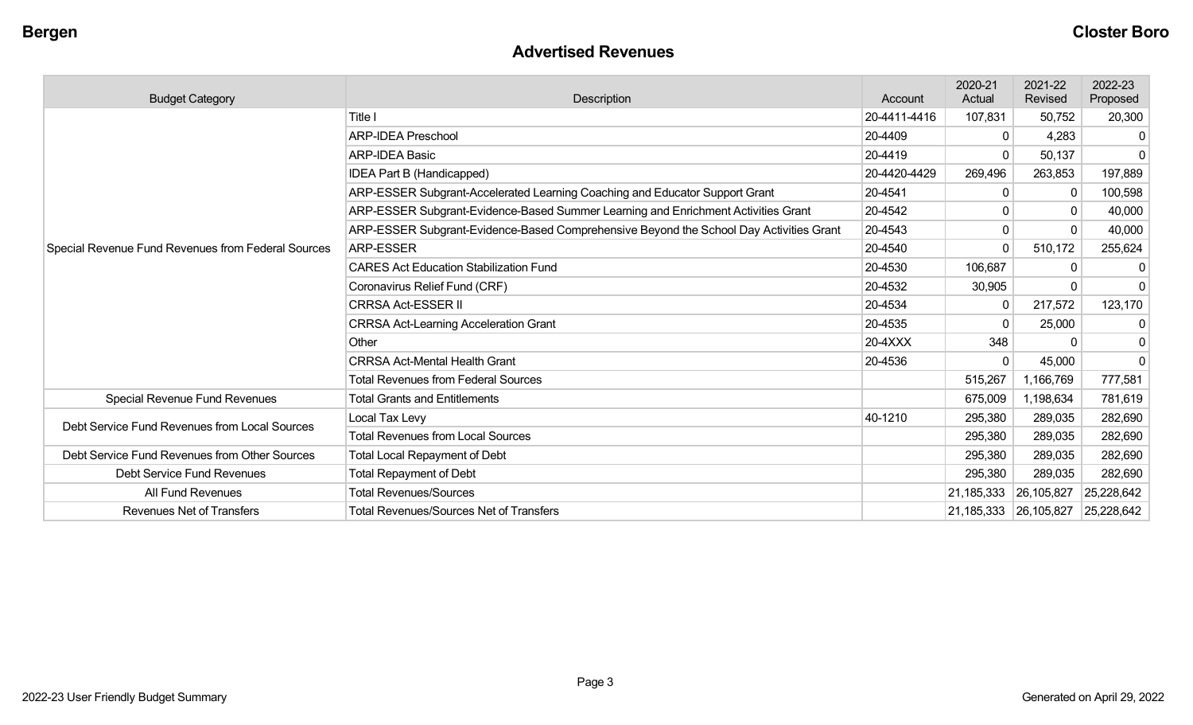#### **Advertised Revenues**

| <b>Budget Category</b>                             | Description                                                                            | Account      | 2020-21<br>Actual | 2021-22<br>Revised               | 2022-23<br>Proposed |
|----------------------------------------------------|----------------------------------------------------------------------------------------|--------------|-------------------|----------------------------------|---------------------|
|                                                    | Title I<br>20-4411-4416                                                                |              | 107,831           | 50,752                           | 20,300              |
|                                                    | <b>ARP-IDEA Preschool</b>                                                              | 20-4409      | 0                 | 4,283                            |                     |
|                                                    | <b>ARP-IDEA Basic</b>                                                                  | 20-4419      | 0                 | 50,137                           | $\Omega$            |
|                                                    | IDEA Part B (Handicapped)                                                              | 20-4420-4429 | 269,496           | 263,853                          | 197,889             |
|                                                    | ARP-ESSER Subgrant-Accelerated Learning Coaching and Educator Support Grant            | 20-4541      | 0                 | $\mathbf 0$                      | 100,598             |
|                                                    | ARP-ESSER Subgrant-Evidence-Based Summer Learning and Enrichment Activities Grant      | 20-4542      | 0                 | 0                                | 40,000              |
|                                                    | ARP-ESSER Subgrant-Evidence-Based Comprehensive Beyond the School Day Activities Grant | 20-4543      | 0                 | $\Omega$                         | 40,000              |
| Special Revenue Fund Revenues from Federal Sources | <b>ARP-ESSER</b>                                                                       | 20-4540      | 0                 | 510,172                          | 255,624             |
|                                                    | <b>CARES Act Education Stabilization Fund</b>                                          |              | 106,687           | $\mathbf{0}$                     | 0                   |
|                                                    | Coronavirus Relief Fund (CRF)                                                          | 20-4532      | 30,905            | 0                                | $\Omega$            |
|                                                    | <b>CRRSA Act-ESSER II</b>                                                              | 20-4534      | 0                 | 217,572                          | 123,170             |
|                                                    | <b>CRRSA Act-Learning Acceleration Grant</b>                                           | 20-4535      | 0                 | 25,000                           | $\Omega$            |
|                                                    | Other                                                                                  | 20-4XXX      | 348               | $\Omega$                         |                     |
|                                                    | <b>CRRSA Act-Mental Health Grant</b>                                                   | 20-4536      | 0                 | 45,000                           | $\Omega$            |
|                                                    | <b>Total Revenues from Federal Sources</b>                                             |              | 515,267           | 1,166,769                        | 777,581             |
| Special Revenue Fund Revenues                      | <b>Total Grants and Entitlements</b>                                                   |              | 675,009           | 1,198,634                        | 781,619             |
| Debt Service Fund Revenues from Local Sources      | Local Tax Levy                                                                         | 40-1210      | 295,380           | 289,035                          | 282,690             |
|                                                    | <b>Total Revenues from Local Sources</b>                                               |              | 295,380           | 289,035                          | 282,690             |
| Debt Service Fund Revenues from Other Sources      | <b>Total Local Repayment of Debt</b>                                                   |              | 295,380           | 289,035                          | 282,690             |
| <b>Debt Service Fund Revenues</b>                  | <b>Total Repayment of Debt</b>                                                         |              | 295,380           | 289,035                          | 282,690             |
| All Fund Revenues                                  | <b>Total Revenues/Sources</b>                                                          |              | 21,185,333        | 26,105,827                       | 25,228,642          |
| <b>Revenues Net of Transfers</b>                   | <b>Total Revenues/Sources Net of Transfers</b>                                         |              |                   | 21,185,333 26,105,827 25,228,642 |                     |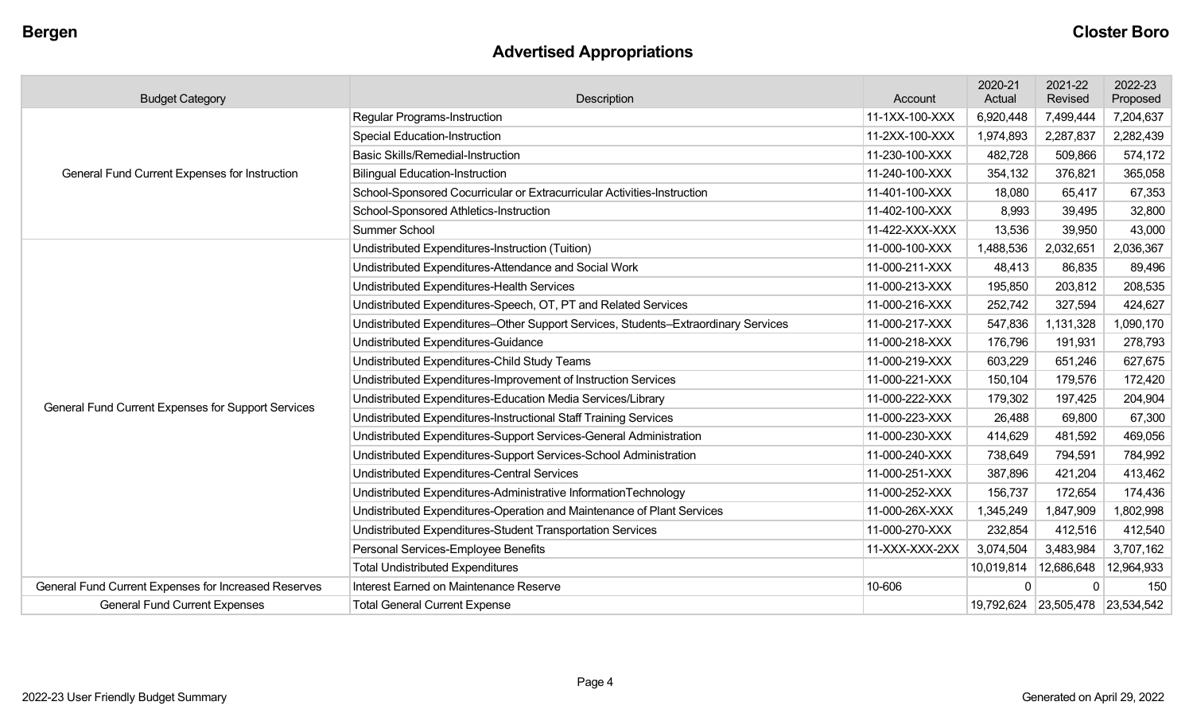## **Advertised Appropriations**

| <b>Budget Category</b>                               | Description                                                                        | Account        | 2020-21<br>Actual | 2021-22<br>Revised               | 2022-23<br>Proposed |
|------------------------------------------------------|------------------------------------------------------------------------------------|----------------|-------------------|----------------------------------|---------------------|
|                                                      | Regular Programs-Instruction                                                       | 11-1XX-100-XXX | 6,920,448         | 7,499,444                        | 7,204,637           |
|                                                      | <b>Special Education-Instruction</b>                                               | 11-2XX-100-XXX | 1,974,893         | 2,287,837                        | 2,282,439           |
|                                                      | <b>Basic Skills/Remedial-Instruction</b>                                           | 11-230-100-XXX | 482,728           | 509,866                          | 574,172             |
| <b>General Fund Current Expenses for Instruction</b> | <b>Bilingual Education-Instruction</b>                                             | 11-240-100-XXX | 354,132           | 376,821                          | 365,058             |
|                                                      | School-Sponsored Cocurricular or Extracurricular Activities-Instruction            | 11-401-100-XXX | 18,080            | 65,417                           | 67,353              |
|                                                      | School-Sponsored Athletics-Instruction                                             | 11-402-100-XXX | 8,993             | 39,495                           | 32,800              |
|                                                      | Summer School                                                                      | 11-422-XXX-XXX | 13,536            | 39,950                           | 43,000              |
|                                                      | Undistributed Expenditures-Instruction (Tuition)                                   | 11-000-100-XXX | 1,488,536         | 2,032,651                        | 2,036,367           |
|                                                      | Undistributed Expenditures-Attendance and Social Work                              | 11-000-211-XXX | 48,413            | 86,835                           | 89,496              |
|                                                      | Undistributed Expenditures-Health Services                                         | 11-000-213-XXX | 195,850           | 203,812                          | 208,535             |
|                                                      | Undistributed Expenditures-Speech, OT, PT and Related Services                     | 11-000-216-XXX | 252,742           | 327,594                          | 424,627             |
|                                                      | Undistributed Expenditures-Other Support Services, Students-Extraordinary Services | 11-000-217-XXX | 547,836           | 1,131,328                        | 1,090,170           |
|                                                      | Undistributed Expenditures-Guidance                                                | 11-000-218-XXX | 176,796           | 191,931                          | 278,793             |
|                                                      | Undistributed Expenditures-Child Study Teams                                       | 11-000-219-XXX | 603,229           | 651,246                          | 627,675             |
|                                                      | Undistributed Expenditures-Improvement of Instruction Services                     | 11-000-221-XXX | 150,104           | 179,576                          | 172,420             |
| General Fund Current Expenses for Support Services   | Undistributed Expenditures-Education Media Services/Library                        | 11-000-222-XXX | 179,302           | 197,425                          | 204,904             |
|                                                      | Undistributed Expenditures-Instructional Staff Training Services                   | 11-000-223-XXX | 26,488            | 69,800                           | 67,300              |
|                                                      | Undistributed Expenditures-Support Services-General Administration                 | 11-000-230-XXX | 414,629           | 481,592                          | 469,056             |
|                                                      | Undistributed Expenditures-Support Services-School Administration                  | 11-000-240-XXX | 738,649           | 794,591                          | 784,992             |
|                                                      | Undistributed Expenditures-Central Services                                        | 11-000-251-XXX | 387,896           | 421,204                          | 413,462             |
|                                                      | Undistributed Expenditures-Administrative InformationTechnology                    | 11-000-252-XXX | 156,737           | 172,654                          | 174,436             |
|                                                      | Undistributed Expenditures-Operation and Maintenance of Plant Services             | 11-000-26X-XXX | 1,345,249         | 1,847,909                        | 1,802,998           |
|                                                      | Undistributed Expenditures-Student Transportation Services                         | 11-000-270-XXX | 232,854           | 412,516                          | 412,540             |
|                                                      | Personal Services-Employee Benefits                                                | 11-XXX-XXX-2XX | 3,074,504         | 3,483,984                        | 3,707,162           |
|                                                      | <b>Total Undistributed Expenditures</b>                                            |                | 10,019,814        | 12,686,648                       | 12,964,933          |
| General Fund Current Expenses for Increased Reserves | Interest Earned on Maintenance Reserve                                             | 10-606         | 0                 |                                  | 150                 |
| <b>General Fund Current Expenses</b>                 | <b>Total General Current Expense</b>                                               |                |                   | 19,792,624 23,505,478 23,534,542 |                     |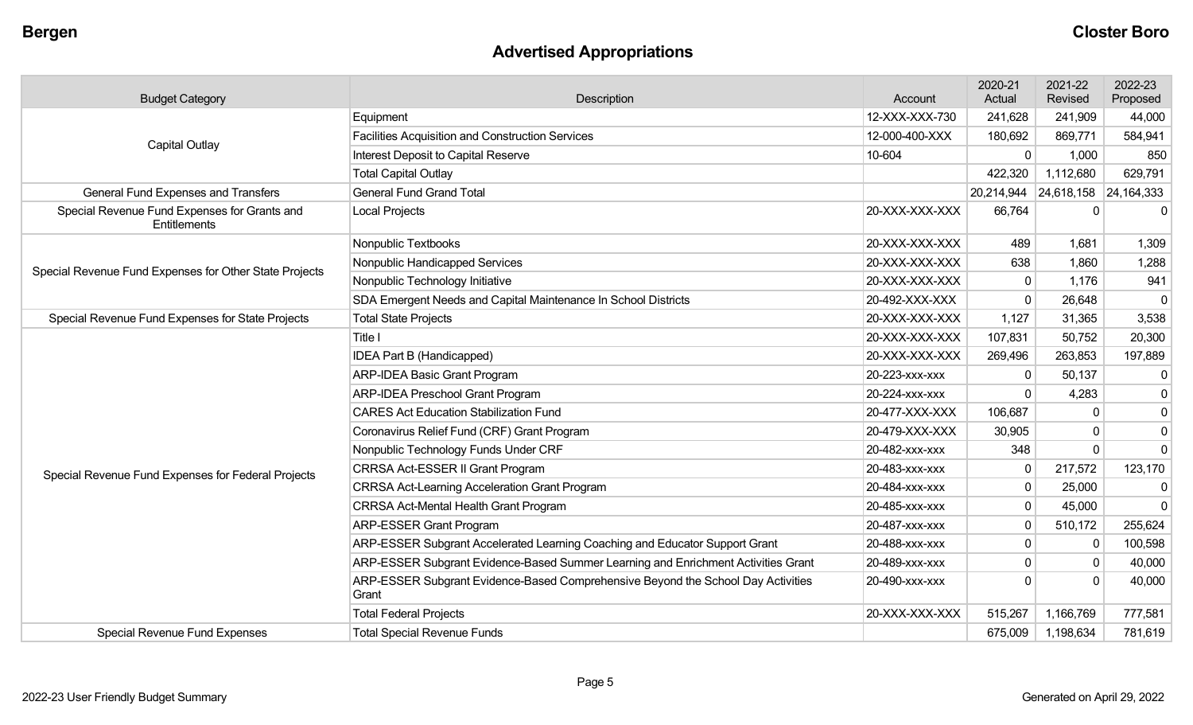## **Advertised Appropriations**

| <b>Budget Category</b>                                       | Description                                                                               | Account        | 2020-21<br>Actual | 2021-22<br>Revised    | 2022-23<br>Proposed |
|--------------------------------------------------------------|-------------------------------------------------------------------------------------------|----------------|-------------------|-----------------------|---------------------|
|                                                              | Equipment                                                                                 | 12-XXX-XXX-730 | 241,628           | 241,909               | 44,000              |
| <b>Capital Outlay</b>                                        | <b>Facilities Acquisition and Construction Services</b>                                   | 12-000-400-XXX | 180,692           | 869,771               | 584,941             |
|                                                              | Interest Deposit to Capital Reserve                                                       | 10-604         | 0                 | 1,000                 | 850                 |
|                                                              | <b>Total Capital Outlay</b>                                                               |                | 422,320           | 1,112,680             | 629,791             |
| <b>General Fund Expenses and Transfers</b>                   | <b>General Fund Grand Total</b>                                                           |                | 20,214,944        | 24,618,158 24,164,333 |                     |
| Special Revenue Fund Expenses for Grants and<br>Entitlements | Local Projects                                                                            | 20-XXX-XXX-XXX | 66,764            | $\Omega$              | $\mathbf{0}$        |
|                                                              | Nonpublic Textbooks                                                                       | 20-XXX-XXX-XXX | 489               | 1,681                 | 1,309               |
| Special Revenue Fund Expenses for Other State Projects       | Nonpublic Handicapped Services                                                            | 20-XXX-XXX-XXX | 638               | 1,860                 | 1,288               |
|                                                              | Nonpublic Technology Initiative                                                           | 20-XXX-XXX-XXX | $\mathbf{0}$      | 1,176                 | 941                 |
|                                                              | SDA Emergent Needs and Capital Maintenance In School Districts                            | 20-492-XXX-XXX | $\mathbf 0$       | 26,648                | $\mathbf 0$         |
| Special Revenue Fund Expenses for State Projects             | <b>Total State Projects</b>                                                               | 20-XXX-XXX-XXX | 1,127             | 31,365                | 3,538               |
|                                                              | Title I                                                                                   | 20-XXX-XXX-XXX | 107,831           | 50,752                | 20,300              |
|                                                              | IDEA Part B (Handicapped)                                                                 | 20-XXX-XXX-XXX | 269,496           | 263,853               | 197,889             |
|                                                              | <b>ARP-IDEA Basic Grant Program</b>                                                       | 20-223-xxx-xxx | 0                 | 50,137                | $\overline{0}$      |
|                                                              | <b>ARP-IDEA Preschool Grant Program</b>                                                   | 20-224-XXX-XXX | $\Omega$          | 4,283                 | $\overline{0}$      |
|                                                              | <b>CARES Act Education Stabilization Fund</b>                                             | 20-477-XXX-XXX | 106,687           | $\mathbf{0}$          | $\overline{0}$      |
|                                                              | Coronavirus Relief Fund (CRF) Grant Program                                               | 20-479-XXX-XXX | 30,905            | $\Omega$              | $\pmb{0}$           |
|                                                              | Nonpublic Technology Funds Under CRF                                                      | 20-482-xxx-xxx | 348               | $\Omega$              | $\overline{0}$      |
| Special Revenue Fund Expenses for Federal Projects           | CRRSA Act-ESSER II Grant Program                                                          | 20-483-XXX-XXX | $\mathbf 0$       | 217,572               | 123,170             |
|                                                              | <b>CRRSA Act-Learning Acceleration Grant Program</b>                                      | 20-484-XXX-XXX | $\mathbf 0$       | 25,000                | $\mathbf 0$         |
|                                                              | CRRSA Act-Mental Health Grant Program                                                     | 20-485-xxx-xxx | $\mathbf 0$       | 45,000                | $\Omega$            |
|                                                              | <b>ARP-ESSER Grant Program</b>                                                            | 20-487-XXX-XXX | $\mathbf{0}$      | 510,172               | 255,624             |
|                                                              | ARP-ESSER Subgrant Accelerated Learning Coaching and Educator Support Grant               | 20-488-xxx-xxx | 0                 | $\mathbf{0}$          | 100,598             |
|                                                              | ARP-ESSER Subgrant Evidence-Based Summer Learning and Enrichment Activities Grant         | 20-489-xxx-xxx | 0                 | $\Omega$              | 40,000              |
|                                                              | ARP-ESSER Subgrant Evidence-Based Comprehensive Beyond the School Day Activities<br>Grant | 20-490-XXX-XXX | $\Omega$          | $\Omega$              | 40,000              |
|                                                              | <b>Total Federal Projects</b>                                                             | 20-XXX-XXX-XXX | 515,267           | 1,166,769             | 777,581             |
| <b>Special Revenue Fund Expenses</b>                         | <b>Total Special Revenue Funds</b>                                                        |                | 675,009           | 1,198,634             | 781,619             |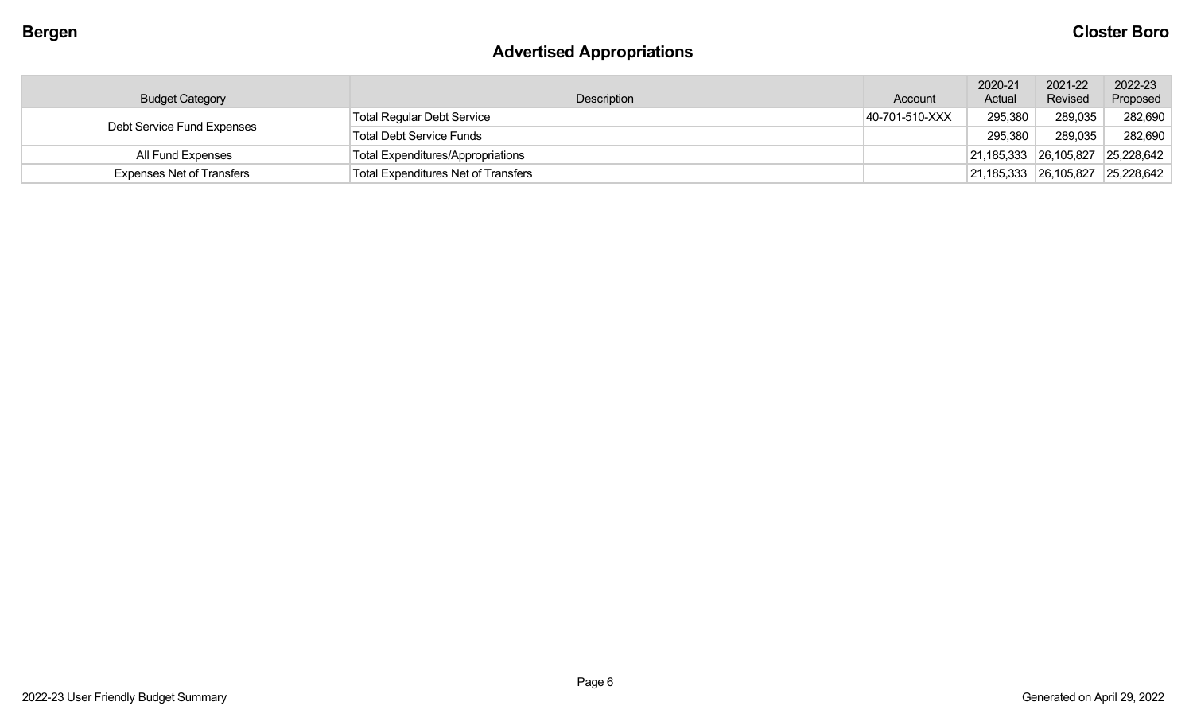## **Advertised Appropriations**

| <b>Budget Category</b>           | Description                                | Account        | 2020-21<br>Actual     | 2021-22<br>Revised | 2022-23<br>Proposed |
|----------------------------------|--------------------------------------------|----------------|-----------------------|--------------------|---------------------|
| Debt Service Fund Expenses       | <b>Total Regular Debt Service</b>          | 40-701-510-XXX | 295,380               | 289,035            | 282,690             |
|                                  | <b>Total Debt Service Funds</b>            |                | 295,380               | 289,035            | 282,690             |
| All Fund Expenses                | <b>Total Expenditures/Appropriations</b>   |                | 21,185,333 26,105,827 |                    | 25,228,642          |
| <b>Expenses Net of Transfers</b> | <b>Total Expenditures Net of Transfers</b> |                | 21,185,333 26,105,827 |                    | 25,228,642          |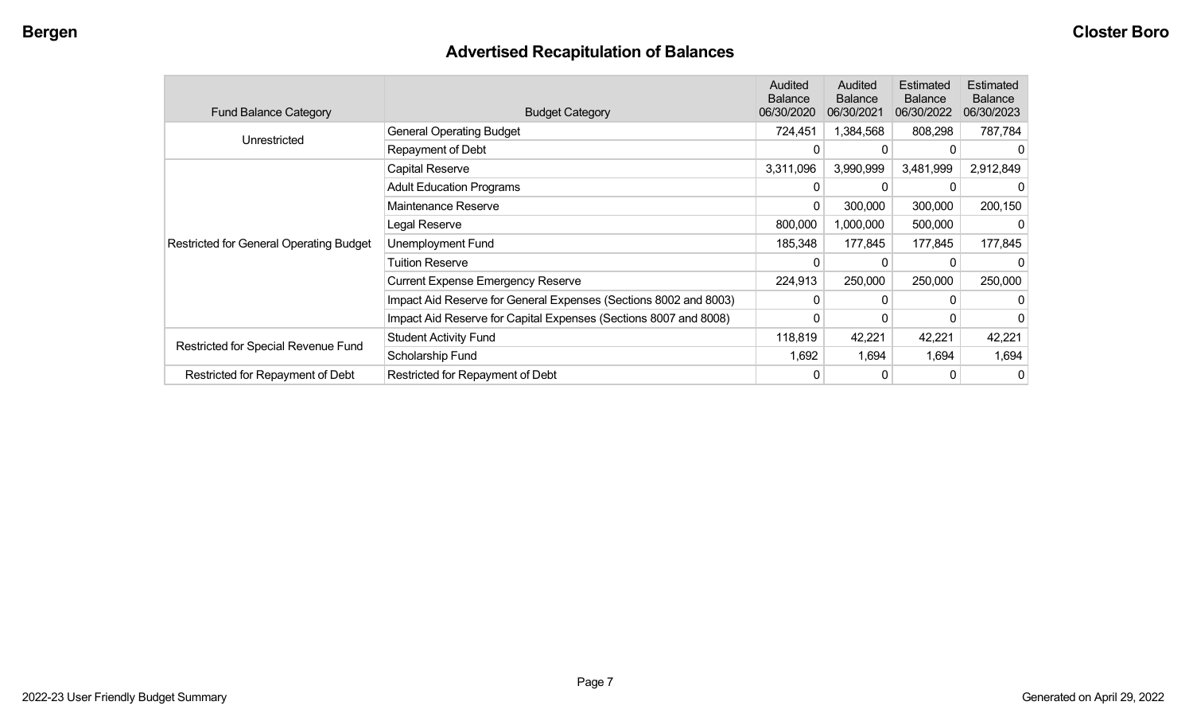## **Advertised Recapitulation of Balances**

| <b>Fund Balance Category</b>                   | <b>Budget Category</b>                                           | Audited<br><b>Balance</b><br>06/30/2020 | Audited<br><b>Balance</b><br>06/30/2021 | Estimated<br><b>Balance</b><br>06/30/2022 | Estimated<br><b>Balance</b><br>06/30/2023 |
|------------------------------------------------|------------------------------------------------------------------|-----------------------------------------|-----------------------------------------|-------------------------------------------|-------------------------------------------|
| Unrestricted                                   | <b>General Operating Budget</b>                                  | 724,451                                 | 1,384,568                               | 808,298                                   | 787,784                                   |
|                                                | Repayment of Debt                                                | 0                                       | $\Omega$                                |                                           |                                           |
|                                                | Capital Reserve                                                  | 3,311,096                               | 3,990,999                               | 3,481,999                                 | 2,912,849                                 |
|                                                | <b>Adult Education Programs</b>                                  |                                         |                                         |                                           |                                           |
|                                                | Maintenance Reserve                                              | 0                                       | 300,000                                 | 300,000                                   | 200,150                                   |
|                                                | Legal Reserve                                                    | 800,000                                 | 1,000,000                               | 500,000                                   |                                           |
| <b>Restricted for General Operating Budget</b> | Unemployment Fund                                                | 185,348                                 | 177,845                                 | 177,845                                   | 177,845                                   |
|                                                | <b>Tuition Reserve</b>                                           | 0                                       | 0                                       |                                           |                                           |
|                                                | <b>Current Expense Emergency Reserve</b>                         | 224,913                                 | 250,000                                 | 250,000                                   | 250,000                                   |
|                                                | Impact Aid Reserve for General Expenses (Sections 8002 and 8003) | 0                                       | $\Omega$                                | U                                         |                                           |
|                                                | Impact Aid Reserve for Capital Expenses (Sections 8007 and 8008) | Ω                                       | 0                                       |                                           |                                           |
|                                                | <b>Student Activity Fund</b>                                     | 118,819                                 | 42,221                                  | 42,221                                    | 42,221                                    |
| Restricted for Special Revenue Fund            | Scholarship Fund                                                 | 1,692                                   | 1,694                                   | 1,694                                     | 1,694                                     |
| Restricted for Repayment of Debt               | Restricted for Repayment of Debt                                 |                                         | 0                                       | 0                                         | 0                                         |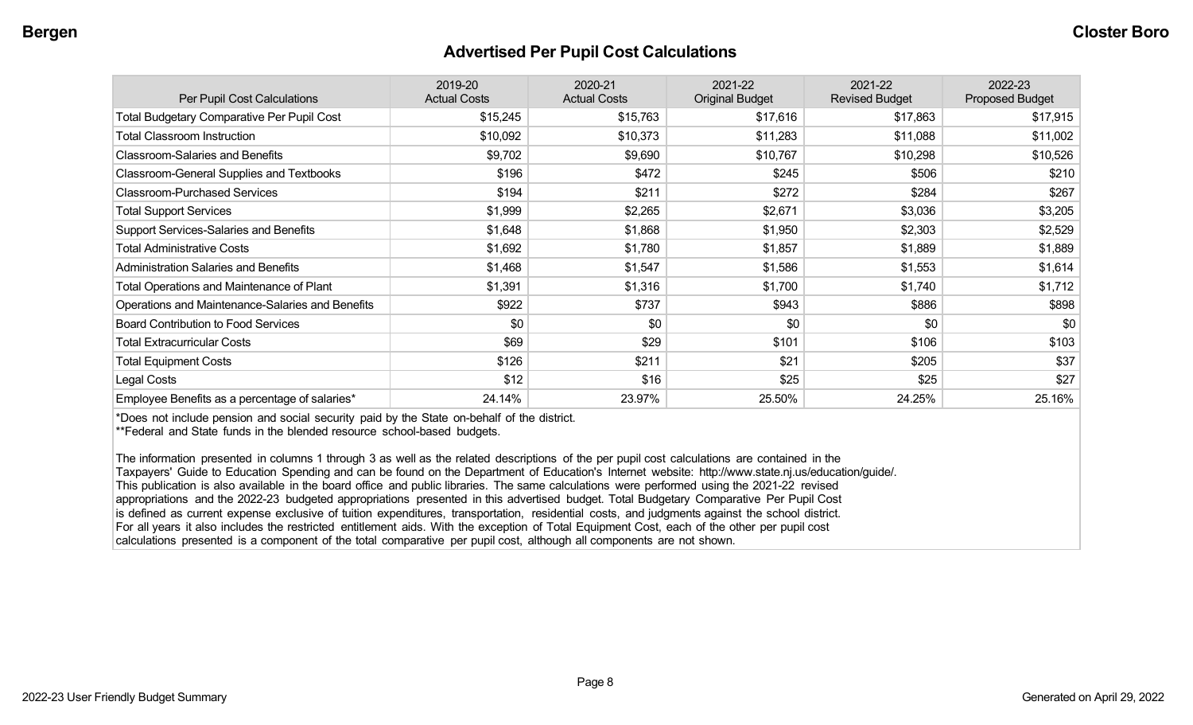#### **Advertised Per Pupil Cost Calculations**

| Per Pupil Cost Calculations                       | 2019-20<br><b>Actual Costs</b> | 2020-21<br><b>Actual Costs</b> | 2021-22<br><b>Original Budget</b> | 2021-22<br><b>Revised Budget</b> | 2022-23<br><b>Proposed Budget</b> |
|---------------------------------------------------|--------------------------------|--------------------------------|-----------------------------------|----------------------------------|-----------------------------------|
| <b>Total Budgetary Comparative Per Pupil Cost</b> | \$15,245                       | \$15,763                       | \$17,616                          | \$17,863                         | \$17,915                          |
| <b>Total Classroom Instruction</b>                | \$10,092                       | \$10,373                       | \$11,283                          | \$11,088                         | \$11,002                          |
| <b>Classroom-Salaries and Benefits</b>            | \$9,702                        | \$9,690                        | \$10,767                          | \$10,298                         | \$10,526                          |
| Classroom-General Supplies and Textbooks          | \$196                          | \$472                          | \$245                             | \$506                            | \$210                             |
| <b>Classroom-Purchased Services</b>               | \$194                          | \$211                          | \$272                             | \$284                            | \$267                             |
| <b>Total Support Services</b>                     | \$1,999                        | \$2,265                        | \$2,671                           | \$3,036                          | \$3,205                           |
| Support Services-Salaries and Benefits            | \$1,648                        | \$1,868                        | \$1,950                           | \$2,303                          | \$2,529                           |
| <b>Total Administrative Costs</b>                 | \$1,692                        | \$1,780                        | \$1,857                           | \$1,889                          | \$1,889                           |
| <b>Administration Salaries and Benefits</b>       | \$1,468                        | \$1,547                        | \$1,586                           | \$1,553                          | \$1,614                           |
| Total Operations and Maintenance of Plant         | \$1,391                        | \$1,316                        | \$1,700                           | \$1,740                          | \$1,712                           |
| Operations and Maintenance-Salaries and Benefits  | \$922                          | \$737                          | \$943                             | \$886                            | \$898                             |
| <b>Board Contribution to Food Services</b>        | \$0                            | \$0                            | \$0                               | \$0                              | \$0                               |
| <b>Total Extracurricular Costs</b>                | \$69                           | \$29                           | \$101                             | \$106                            | \$103                             |
| <b>Total Equipment Costs</b>                      | \$126                          | \$211                          | \$21                              | \$205                            | \$37                              |
| Legal Costs                                       | \$12                           | \$16                           | \$25                              | \$25                             | \$27                              |
| Employee Benefits as a percentage of salaries*    | 24.14%                         | 23.97%                         | 25.50%                            | 24.25%                           | 25.16%                            |

\*Does not include pension and social security paid by the State on-behalf of the district.

\*\*Federal and State funds in the blended resource school-based budgets.

The information presented in columns 1 through 3 as well as the related descriptions of the per pupil cost calculations are contained in the Taxpayers' Guide to Education Spending and can be found on the Department of Education's Internet website: http://www.state.nj.us/education/guide/. This publication is also available in the board office and public libraries. The same calculations were performed using the 2021-22 revised appropriations and the 2022-23 budgeted appropriations presented in this advertised budget. Total Budgetary Comparative Per Pupil Cost is defined as current expense exclusive of tuition expenditures, transportation, residential costs, and judgments against the school district. For all years it also includes the restricted entitlement aids. With the exception of Total Equipment Cost, each of the other per pupil cost calculations presented is a component of the total comparative per pupil cost, although all components are not shown.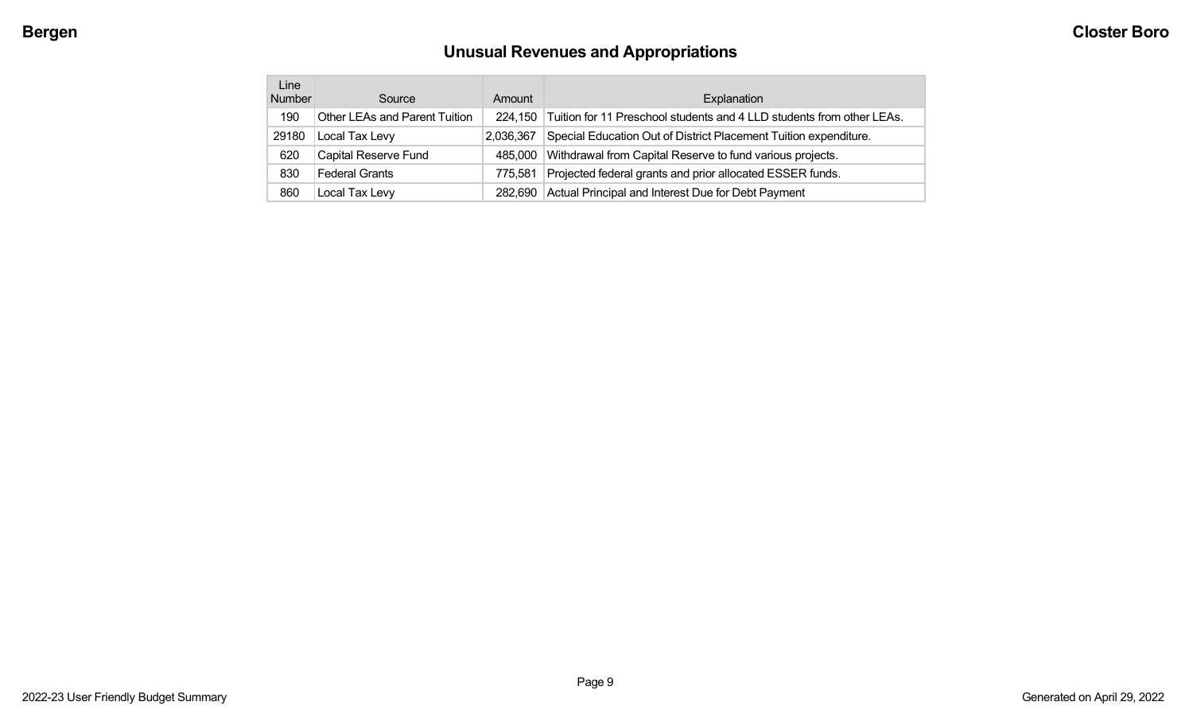# **Unusual Revenues and Appropriations**

| Line<br><b>Number</b> | Source                        | Amount    | Explanation                                                           |
|-----------------------|-------------------------------|-----------|-----------------------------------------------------------------------|
| 190                   | Other LEAs and Parent Tuition | 224.150   | Tuition for 11 Preschool students and 4 LLD students from other LEAs. |
| 29180                 | Local Tax Levy                | 2,036,367 | Special Education Out of District Placement Tuition expenditure.      |
| 620                   | Capital Reserve Fund          | 485,000   | Withdrawal from Capital Reserve to fund various projects.             |
| 830                   | Federal Grants                | 775.581   | Projected federal grants and prior allocated ESSER funds.             |
| 860                   | Local Tax Levy                | 282.690   | Actual Principal and Interest Due for Debt Payment                    |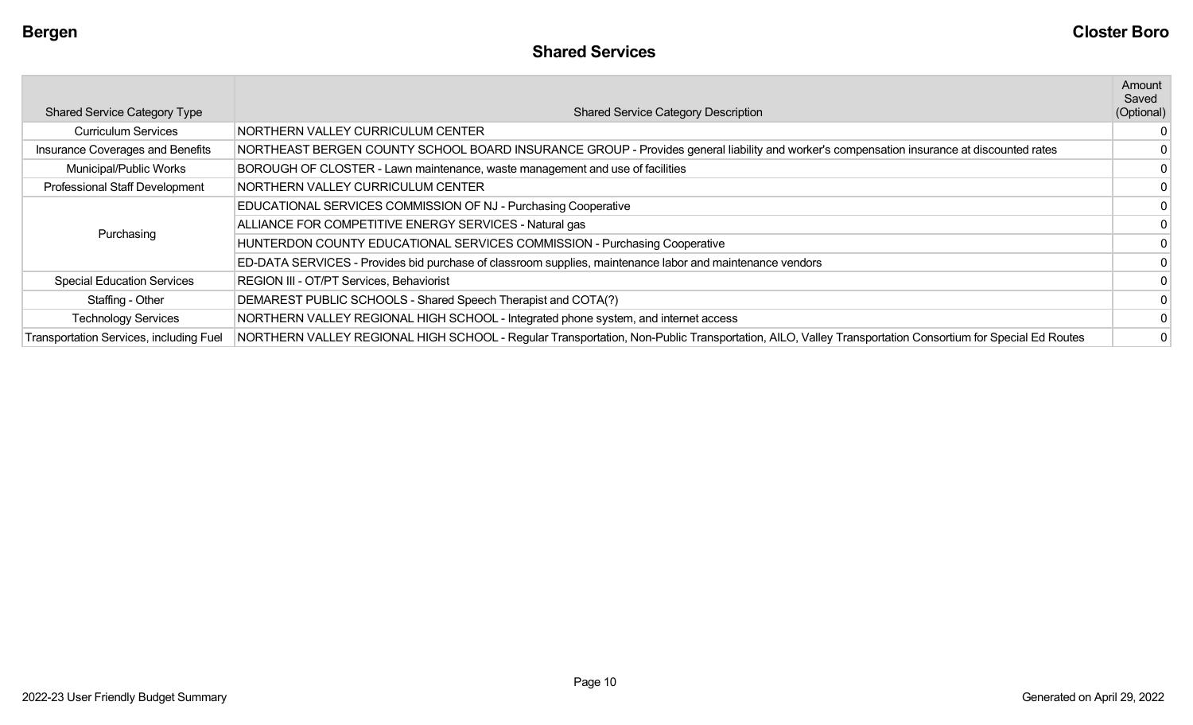|                                         |                                                                                                                                                        | Amount<br>Saved |
|-----------------------------------------|--------------------------------------------------------------------------------------------------------------------------------------------------------|-----------------|
| <b>Shared Service Category Type</b>     | <b>Shared Service Category Description</b>                                                                                                             | (Optional)      |
| <b>Curriculum Services</b>              | NORTHERN VALLEY CURRICULUM CENTER                                                                                                                      | 0               |
| Insurance Coverages and Benefits        | NORTHEAST BERGEN COUNTY SCHOOL BOARD INSURANCE GROUP - Provides general liability and worker's compensation insurance at discounted rates              |                 |
| Municipal/Public Works                  | BOROUGH OF CLOSTER - Lawn maintenance, waste management and use of facilities                                                                          | $\overline{0}$  |
| Professional Staff Development          | NORTHERN VALLEY CURRICULUM CENTER                                                                                                                      | $\overline{0}$  |
|                                         | EDUCATIONAL SERVICES COMMISSION OF NJ - Purchasing Cooperative                                                                                         |                 |
| Purchasing                              | ALLIANCE FOR COMPETITIVE ENERGY SERVICES - Natural gas                                                                                                 | $\overline{0}$  |
|                                         | HUNTERDON COUNTY EDUCATIONAL SERVICES COMMISSION - Purchasing Cooperative                                                                              | $\overline{0}$  |
|                                         | ED-DATA SERVICES - Provides bid purchase of classroom supplies, maintenance labor and maintenance vendors                                              | $\Omega$        |
| <b>Special Education Services</b>       | REGION III - OT/PT Services, Behaviorist                                                                                                               | $\overline{0}$  |
| Staffing - Other                        | DEMAREST PUBLIC SCHOOLS - Shared Speech Therapist and COTA(?)                                                                                          | 0               |
| <b>Technology Services</b>              | NORTHERN VALLEY REGIONAL HIGH SCHOOL - Integrated phone system, and internet access                                                                    | $\overline{0}$  |
| Transportation Services, including Fuel | NORTHERN VALLEY REGIONAL HIGH SCHOOL - Regular Transportation, Non-Public Transportation, AILO, Valley Transportation Consortium for Special Ed Routes | $\overline{0}$  |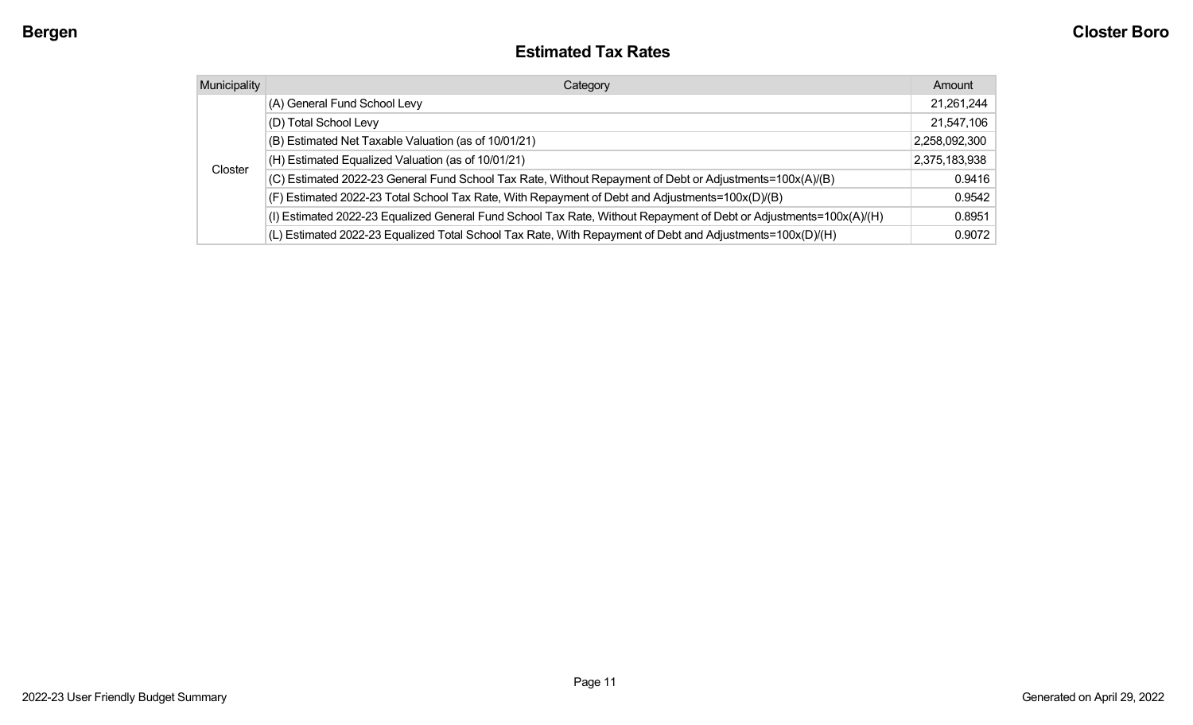#### **Estimated Tax Rates**

| <b>Municipality</b> | Category                                                                                                           | Amount        |
|---------------------|--------------------------------------------------------------------------------------------------------------------|---------------|
|                     | (A) General Fund School Levy                                                                                       | 21,261,244    |
|                     | (D) Total School Levy                                                                                              | 21,547,106    |
|                     | (B) Estimated Net Taxable Valuation (as of 10/01/21)                                                               | 2,258,092,300 |
|                     | (H) Estimated Equalized Valuation (as of 10/01/21)                                                                 | 2,375,183,938 |
| Closter             | (C) Estimated 2022-23 General Fund School Tax Rate, Without Repayment of Debt or Adjustments=100x(A)/(B)           | 0.9416        |
|                     | (F) Estimated 2022-23 Total School Tax Rate, With Repayment of Debt and Adjustments=100x(D)/(B)                    | 0.9542        |
|                     | (I) Estimated 2022-23 Equalized General Fund School Tax Rate, Without Repayment of Debt or Adjustments=100x(A)/(H) | 0.8951        |
|                     | (L) Estimated 2022-23 Equalized Total School Tax Rate, With Repayment of Debt and Adjustments=100x(D)/(H)          | 0.9072        |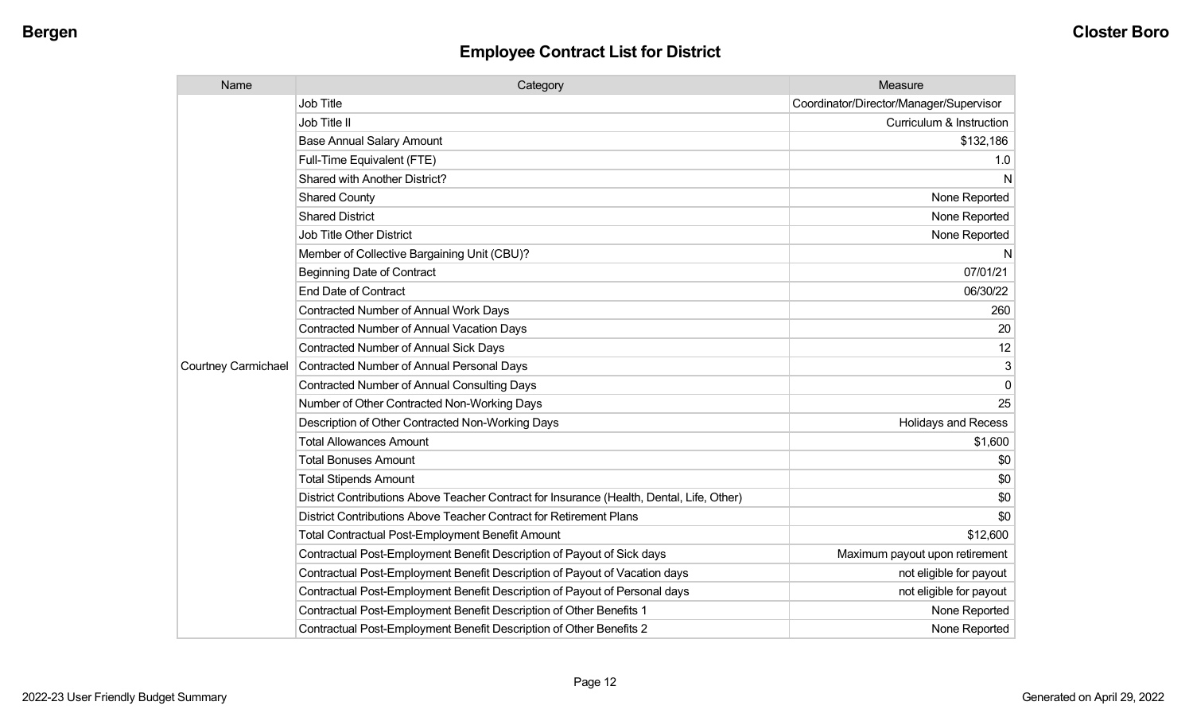| Name                       | Category                                                                                  | Measure                                 |
|----------------------------|-------------------------------------------------------------------------------------------|-----------------------------------------|
|                            | <b>Job Title</b>                                                                          | Coordinator/Director/Manager/Supervisor |
|                            | Job Title II                                                                              | Curriculum & Instruction                |
|                            | <b>Base Annual Salary Amount</b>                                                          | \$132,186                               |
|                            | Full-Time Equivalent (FTE)                                                                | 1.0                                     |
|                            | Shared with Another District?                                                             | N                                       |
|                            | <b>Shared County</b>                                                                      | None Reported                           |
|                            | <b>Shared District</b>                                                                    | None Reported                           |
|                            | <b>Job Title Other District</b>                                                           | None Reported                           |
|                            | Member of Collective Bargaining Unit (CBU)?                                               | N                                       |
|                            | <b>Beginning Date of Contract</b>                                                         | 07/01/21                                |
|                            | <b>End Date of Contract</b>                                                               | 06/30/22                                |
|                            | <b>Contracted Number of Annual Work Days</b>                                              | 260                                     |
|                            | <b>Contracted Number of Annual Vacation Days</b>                                          | 20                                      |
|                            | <b>Contracted Number of Annual Sick Days</b>                                              | 12                                      |
| <b>Courtney Carmichael</b> | Contracted Number of Annual Personal Days                                                 | 3                                       |
|                            | <b>Contracted Number of Annual Consulting Days</b>                                        | 0                                       |
|                            | Number of Other Contracted Non-Working Days                                               | 25                                      |
|                            | Description of Other Contracted Non-Working Days                                          | <b>Holidays and Recess</b>              |
|                            | <b>Total Allowances Amount</b>                                                            | \$1,600                                 |
|                            | <b>Total Bonuses Amount</b>                                                               | \$0                                     |
|                            | <b>Total Stipends Amount</b>                                                              | \$0                                     |
|                            | District Contributions Above Teacher Contract for Insurance (Health, Dental, Life, Other) | \$0                                     |
|                            | District Contributions Above Teacher Contract for Retirement Plans                        | \$0                                     |
|                            | <b>Total Contractual Post-Employment Benefit Amount</b>                                   | \$12,600                                |
|                            | Contractual Post-Employment Benefit Description of Payout of Sick days                    | Maximum payout upon retirement          |
|                            | Contractual Post-Employment Benefit Description of Payout of Vacation days                | not eligible for payout                 |
|                            | Contractual Post-Employment Benefit Description of Payout of Personal days                | not eligible for payout                 |
|                            | Contractual Post-Employment Benefit Description of Other Benefits 1                       | None Reported                           |
|                            | Contractual Post-Employment Benefit Description of Other Benefits 2                       | None Reported                           |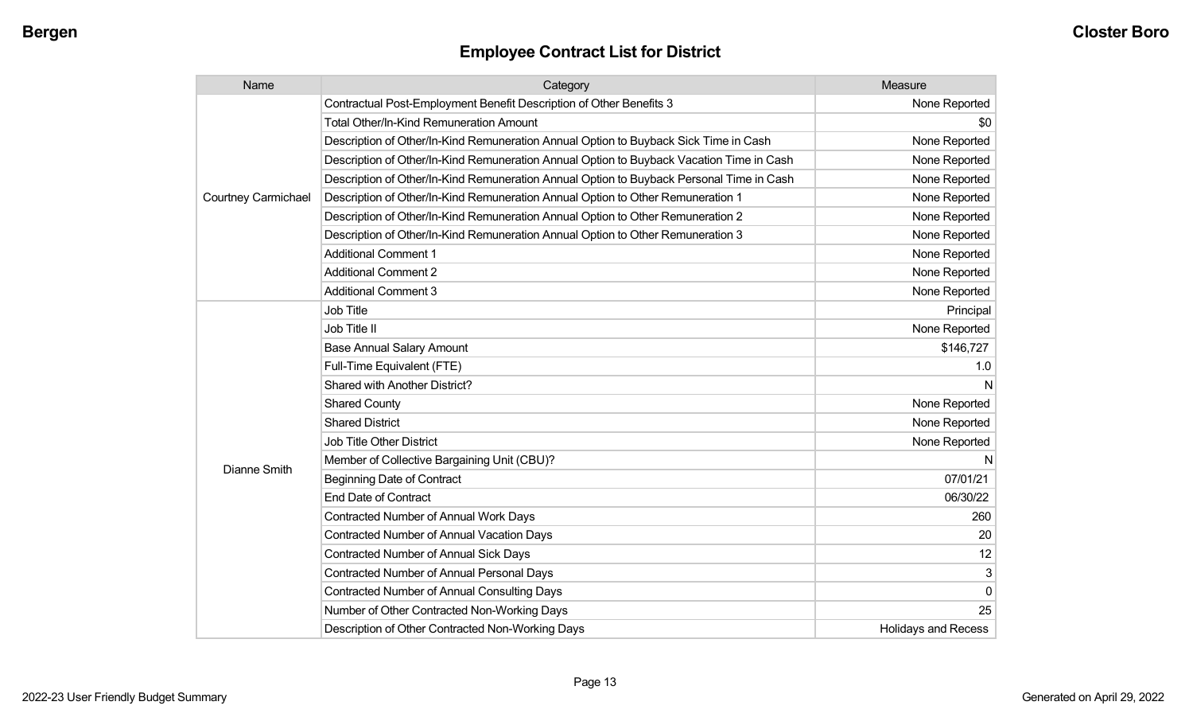| Name                       | Category                                                                                 | Measure                    |
|----------------------------|------------------------------------------------------------------------------------------|----------------------------|
|                            | Contractual Post-Employment Benefit Description of Other Benefits 3                      | None Reported              |
|                            | <b>Total Other/In-Kind Remuneration Amount</b>                                           | \$0                        |
|                            | Description of Other/In-Kind Remuneration Annual Option to Buyback Sick Time in Cash     | None Reported              |
|                            | Description of Other/In-Kind Remuneration Annual Option to Buyback Vacation Time in Cash | None Reported              |
|                            | Description of Other/In-Kind Remuneration Annual Option to Buyback Personal Time in Cash | None Reported              |
| <b>Courtney Carmichael</b> | Description of Other/In-Kind Remuneration Annual Option to Other Remuneration 1          | None Reported              |
|                            | Description of Other/In-Kind Remuneration Annual Option to Other Remuneration 2          | None Reported              |
|                            | Description of Other/In-Kind Remuneration Annual Option to Other Remuneration 3          | None Reported              |
|                            | <b>Additional Comment 1</b>                                                              | None Reported              |
|                            | <b>Additional Comment 2</b>                                                              | None Reported              |
|                            | <b>Additional Comment 3</b>                                                              | None Reported              |
|                            | <b>Job Title</b>                                                                         | Principal                  |
|                            | Job Title II                                                                             | None Reported              |
|                            | <b>Base Annual Salary Amount</b>                                                         | \$146,727                  |
|                            | Full-Time Equivalent (FTE)                                                               | 1.0                        |
|                            | <b>Shared with Another District?</b>                                                     | N                          |
|                            | <b>Shared County</b>                                                                     | None Reported              |
|                            | <b>Shared District</b>                                                                   | None Reported              |
|                            | <b>Job Title Other District</b>                                                          | None Reported              |
|                            | Member of Collective Bargaining Unit (CBU)?                                              | N                          |
| <b>Dianne Smith</b>        | <b>Beginning Date of Contract</b>                                                        | 07/01/21                   |
|                            | <b>End Date of Contract</b>                                                              | 06/30/22                   |
|                            | <b>Contracted Number of Annual Work Days</b>                                             | 260                        |
|                            | <b>Contracted Number of Annual Vacation Days</b>                                         | 20                         |
|                            | <b>Contracted Number of Annual Sick Days</b>                                             | 12                         |
|                            | Contracted Number of Annual Personal Days                                                | 3                          |
|                            | <b>Contracted Number of Annual Consulting Days</b>                                       | $\Omega$                   |
|                            | Number of Other Contracted Non-Working Days                                              | 25                         |
|                            | Description of Other Contracted Non-Working Days                                         | <b>Holidays and Recess</b> |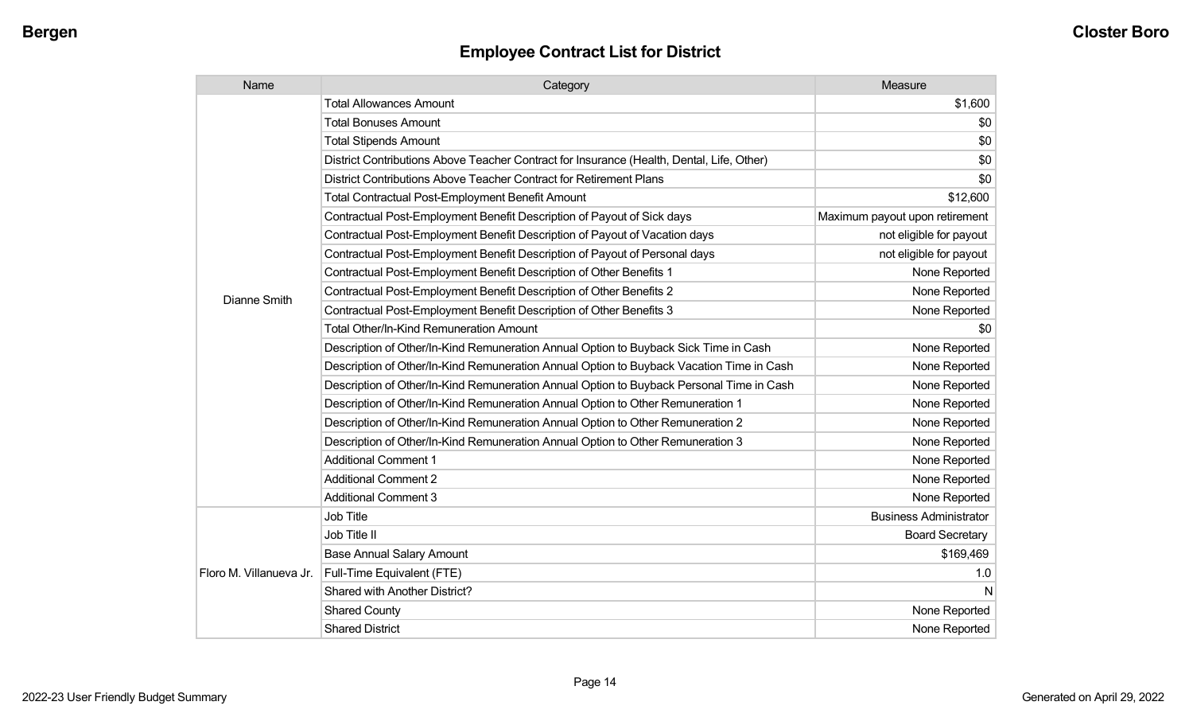| Name                    | Category                                                                                  | Measure                        |
|-------------------------|-------------------------------------------------------------------------------------------|--------------------------------|
|                         | <b>Total Allowances Amount</b>                                                            | \$1,600                        |
|                         | <b>Total Bonuses Amount</b>                                                               | \$0                            |
|                         | <b>Total Stipends Amount</b>                                                              | \$0                            |
|                         | District Contributions Above Teacher Contract for Insurance (Health, Dental, Life, Other) | \$0                            |
|                         | District Contributions Above Teacher Contract for Retirement Plans                        | \$0                            |
|                         | <b>Total Contractual Post-Employment Benefit Amount</b>                                   | \$12,600                       |
|                         | Contractual Post-Employment Benefit Description of Payout of Sick days                    | Maximum payout upon retirement |
|                         | Contractual Post-Employment Benefit Description of Payout of Vacation days                | not eligible for payout        |
|                         | Contractual Post-Employment Benefit Description of Payout of Personal days                | not eligible for payout        |
|                         | Contractual Post-Employment Benefit Description of Other Benefits 1                       | None Reported                  |
| Dianne Smith            | Contractual Post-Employment Benefit Description of Other Benefits 2                       | None Reported                  |
|                         | Contractual Post-Employment Benefit Description of Other Benefits 3                       | None Reported                  |
|                         | Total Other/In-Kind Remuneration Amount                                                   | \$0                            |
|                         | Description of Other/In-Kind Remuneration Annual Option to Buyback Sick Time in Cash      | None Reported                  |
|                         | Description of Other/In-Kind Remuneration Annual Option to Buyback Vacation Time in Cash  | None Reported                  |
|                         | Description of Other/In-Kind Remuneration Annual Option to Buyback Personal Time in Cash  | None Reported                  |
|                         | Description of Other/In-Kind Remuneration Annual Option to Other Remuneration 1           | None Reported                  |
|                         | Description of Other/In-Kind Remuneration Annual Option to Other Remuneration 2           | None Reported                  |
|                         | Description of Other/In-Kind Remuneration Annual Option to Other Remuneration 3           | None Reported                  |
|                         | <b>Additional Comment 1</b>                                                               | None Reported                  |
|                         | <b>Additional Comment 2</b>                                                               | None Reported                  |
|                         | <b>Additional Comment 3</b>                                                               | None Reported                  |
|                         | Job Title                                                                                 | <b>Business Administrator</b>  |
| Floro M. Villanueva Jr. | Job Title II                                                                              | <b>Board Secretary</b>         |
|                         | <b>Base Annual Salary Amount</b>                                                          | \$169,469                      |
|                         | Full-Time Equivalent (FTE)                                                                | 1.0                            |
|                         | Shared with Another District?                                                             | N                              |
|                         | <b>Shared County</b>                                                                      | None Reported                  |
|                         | <b>Shared District</b>                                                                    | None Reported                  |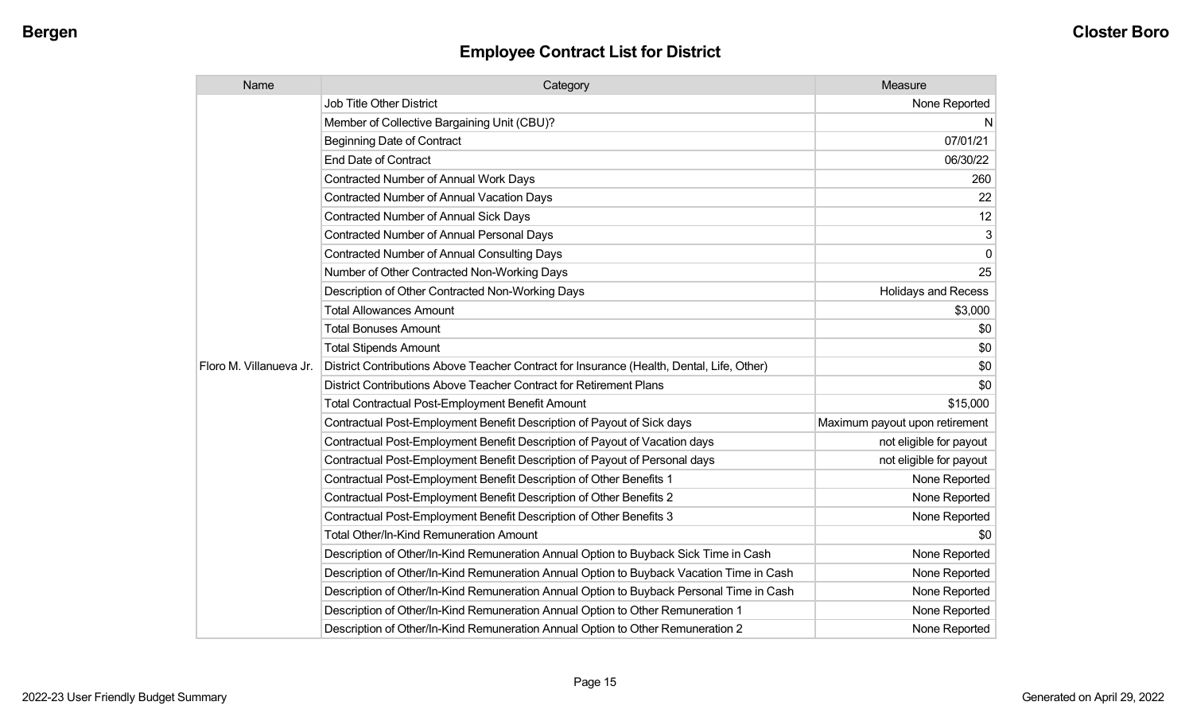| Name                    | Category                                                                                  | Measure                        |
|-------------------------|-------------------------------------------------------------------------------------------|--------------------------------|
|                         | Job Title Other District                                                                  | None Reported                  |
|                         | Member of Collective Bargaining Unit (CBU)?                                               | N                              |
|                         | <b>Beginning Date of Contract</b>                                                         | 07/01/21                       |
|                         | <b>End Date of Contract</b>                                                               | 06/30/22                       |
|                         | Contracted Number of Annual Work Days                                                     | 260                            |
|                         | <b>Contracted Number of Annual Vacation Days</b>                                          | 22                             |
|                         | Contracted Number of Annual Sick Days                                                     | 12                             |
|                         | <b>Contracted Number of Annual Personal Days</b>                                          | 3                              |
|                         | <b>Contracted Number of Annual Consulting Days</b>                                        | $\mathbf 0$                    |
|                         | Number of Other Contracted Non-Working Days                                               | 25                             |
|                         | Description of Other Contracted Non-Working Days                                          | <b>Holidays and Recess</b>     |
|                         | <b>Total Allowances Amount</b>                                                            | \$3,000                        |
|                         | <b>Total Bonuses Amount</b>                                                               | \$0                            |
|                         | <b>Total Stipends Amount</b>                                                              | \$0                            |
| Floro M. Villanueva Jr. | District Contributions Above Teacher Contract for Insurance (Health, Dental, Life, Other) | \$0                            |
|                         | District Contributions Above Teacher Contract for Retirement Plans                        | \$0                            |
|                         | <b>Total Contractual Post-Employment Benefit Amount</b>                                   | \$15,000                       |
|                         | Contractual Post-Employment Benefit Description of Payout of Sick days                    | Maximum payout upon retirement |
|                         | Contractual Post-Employment Benefit Description of Payout of Vacation days                | not eligible for payout        |
|                         | Contractual Post-Employment Benefit Description of Payout of Personal days                | not eligible for payout        |
|                         | Contractual Post-Employment Benefit Description of Other Benefits 1                       | None Reported                  |
|                         | Contractual Post-Employment Benefit Description of Other Benefits 2                       | None Reported                  |
|                         | Contractual Post-Employment Benefit Description of Other Benefits 3                       | None Reported                  |
|                         | <b>Total Other/In-Kind Remuneration Amount</b>                                            | \$0                            |
|                         | Description of Other/In-Kind Remuneration Annual Option to Buyback Sick Time in Cash      | None Reported                  |
|                         | Description of Other/In-Kind Remuneration Annual Option to Buyback Vacation Time in Cash  | None Reported                  |
|                         | Description of Other/In-Kind Remuneration Annual Option to Buyback Personal Time in Cash  | None Reported                  |
|                         | Description of Other/In-Kind Remuneration Annual Option to Other Remuneration 1           | None Reported                  |
|                         | Description of Other/In-Kind Remuneration Annual Option to Other Remuneration 2           | None Reported                  |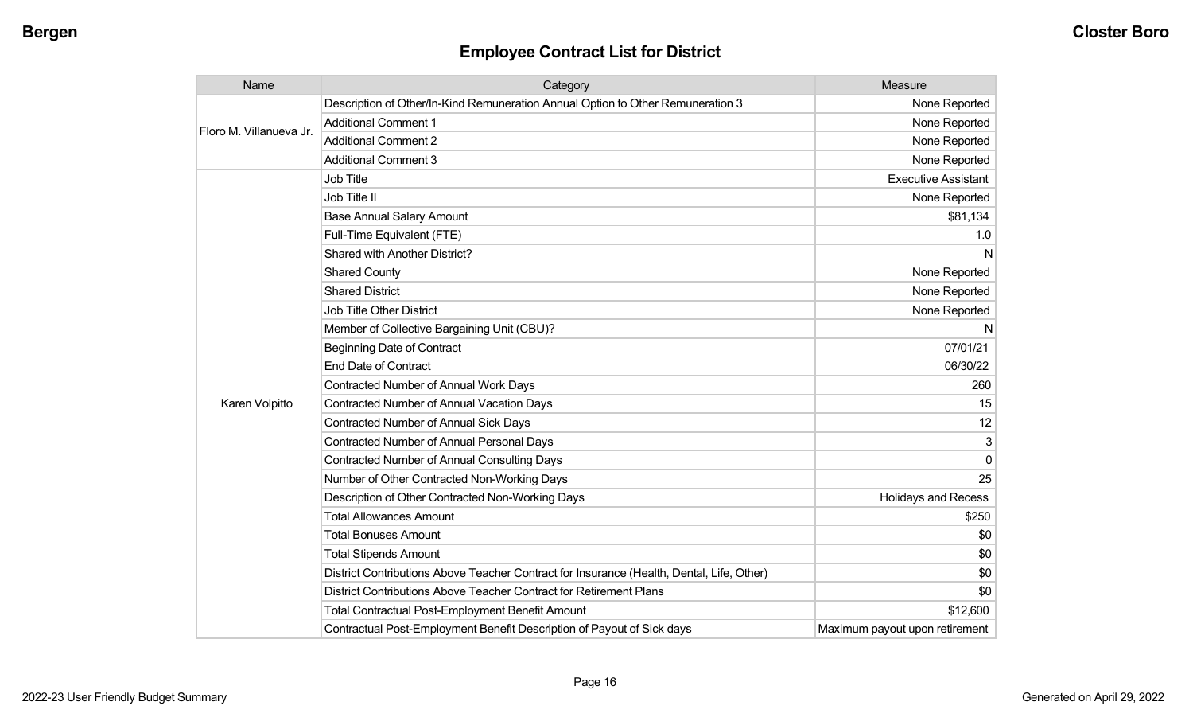| Name                    | Category                                                                                  | Measure                        |
|-------------------------|-------------------------------------------------------------------------------------------|--------------------------------|
| Floro M. Villanueva Jr. | Description of Other/In-Kind Remuneration Annual Option to Other Remuneration 3           | None Reported                  |
|                         | <b>Additional Comment 1</b>                                                               | None Reported                  |
|                         | <b>Additional Comment 2</b>                                                               | None Reported                  |
|                         | <b>Additional Comment 3</b>                                                               | None Reported                  |
|                         | Job Title                                                                                 | <b>Executive Assistant</b>     |
|                         | Job Title II                                                                              | None Reported                  |
|                         | <b>Base Annual Salary Amount</b>                                                          | \$81,134                       |
|                         | Full-Time Equivalent (FTE)                                                                | 1.0                            |
|                         | Shared with Another District?                                                             | N                              |
|                         | <b>Shared County</b>                                                                      | None Reported                  |
|                         | <b>Shared District</b>                                                                    | None Reported                  |
|                         | <b>Job Title Other District</b>                                                           | None Reported                  |
|                         | Member of Collective Bargaining Unit (CBU)?                                               | N                              |
|                         | <b>Beginning Date of Contract</b>                                                         | 07/01/21                       |
|                         | <b>End Date of Contract</b>                                                               | 06/30/22                       |
|                         | <b>Contracted Number of Annual Work Days</b>                                              | 260                            |
| Karen Volpitto          | <b>Contracted Number of Annual Vacation Days</b>                                          | 15                             |
|                         | <b>Contracted Number of Annual Sick Days</b>                                              | 12                             |
|                         | <b>Contracted Number of Annual Personal Days</b>                                          | 3                              |
|                         | <b>Contracted Number of Annual Consulting Days</b>                                        | $\Omega$                       |
|                         | Number of Other Contracted Non-Working Days                                               | 25                             |
|                         | Description of Other Contracted Non-Working Days                                          | <b>Holidays and Recess</b>     |
|                         | <b>Total Allowances Amount</b>                                                            | \$250                          |
|                         | <b>Total Bonuses Amount</b>                                                               | \$0                            |
|                         | <b>Total Stipends Amount</b>                                                              | \$0                            |
|                         | District Contributions Above Teacher Contract for Insurance (Health, Dental, Life, Other) | \$0                            |
|                         | District Contributions Above Teacher Contract for Retirement Plans                        | \$0                            |
|                         | <b>Total Contractual Post-Employment Benefit Amount</b>                                   | \$12,600                       |
|                         | Contractual Post-Employment Benefit Description of Payout of Sick days                    | Maximum payout upon retirement |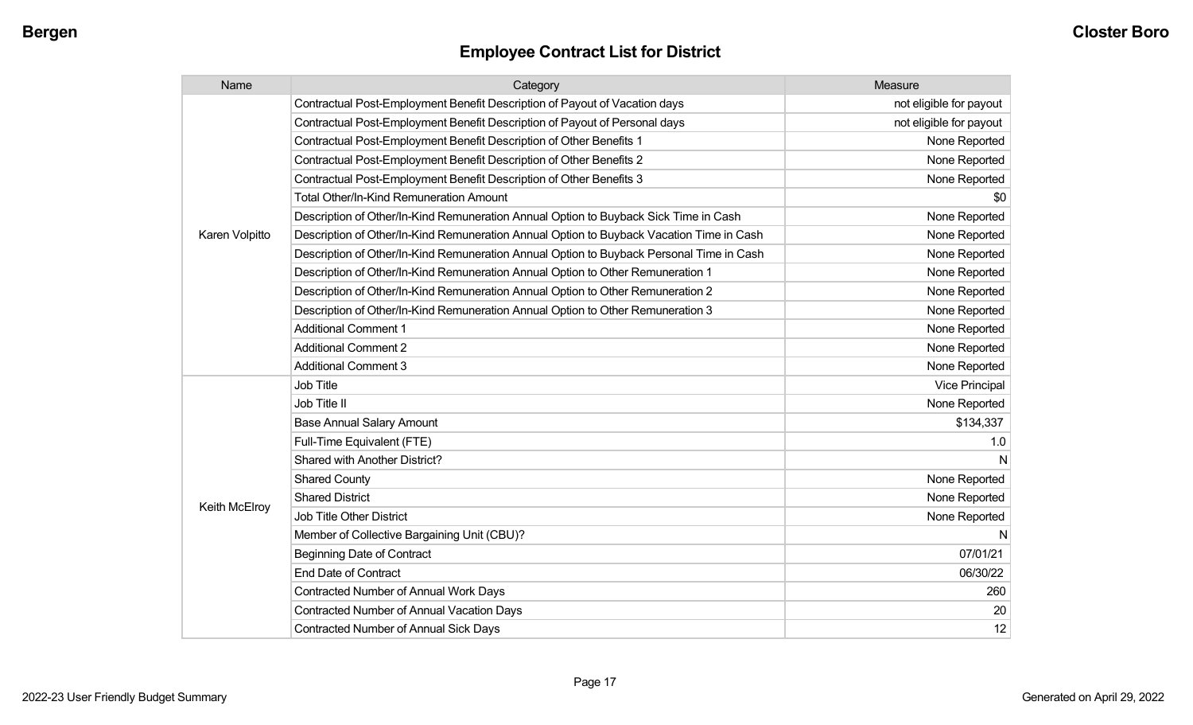| Name           | Category                                                                                 | Measure                 |
|----------------|------------------------------------------------------------------------------------------|-------------------------|
|                | Contractual Post-Employment Benefit Description of Payout of Vacation days               | not eligible for payout |
|                | Contractual Post-Employment Benefit Description of Payout of Personal days               | not eligible for payout |
|                | Contractual Post-Employment Benefit Description of Other Benefits 1                      | None Reported           |
|                | Contractual Post-Employment Benefit Description of Other Benefits 2                      | None Reported           |
|                | Contractual Post-Employment Benefit Description of Other Benefits 3                      | None Reported           |
|                | <b>Total Other/In-Kind Remuneration Amount</b>                                           | \$0                     |
|                | Description of Other/In-Kind Remuneration Annual Option to Buyback Sick Time in Cash     | None Reported           |
| Karen Volpitto | Description of Other/In-Kind Remuneration Annual Option to Buyback Vacation Time in Cash | None Reported           |
|                | Description of Other/In-Kind Remuneration Annual Option to Buyback Personal Time in Cash | None Reported           |
|                | Description of Other/In-Kind Remuneration Annual Option to Other Remuneration 1          | None Reported           |
|                | Description of Other/In-Kind Remuneration Annual Option to Other Remuneration 2          | None Reported           |
|                | Description of Other/In-Kind Remuneration Annual Option to Other Remuneration 3          | None Reported           |
|                | <b>Additional Comment 1</b>                                                              | None Reported           |
|                | <b>Additional Comment 2</b>                                                              | None Reported           |
|                | <b>Additional Comment 3</b>                                                              | None Reported           |
|                | Job Title                                                                                | <b>Vice Principal</b>   |
|                | Job Title II                                                                             | None Reported           |
|                | <b>Base Annual Salary Amount</b>                                                         | \$134,337               |
|                | Full-Time Equivalent (FTE)                                                               | 1.0                     |
|                | Shared with Another District?                                                            | N                       |
|                | <b>Shared County</b>                                                                     | None Reported           |
|                | <b>Shared District</b>                                                                   | None Reported           |
| Keith McElroy  | Job Title Other District                                                                 | None Reported           |
|                | Member of Collective Bargaining Unit (CBU)?                                              | N                       |
|                | <b>Beginning Date of Contract</b>                                                        | 07/01/21                |
|                | <b>End Date of Contract</b>                                                              | 06/30/22                |
|                | <b>Contracted Number of Annual Work Days</b>                                             | 260                     |
|                | <b>Contracted Number of Annual Vacation Days</b>                                         | 20                      |
|                | <b>Contracted Number of Annual Sick Days</b>                                             | 12                      |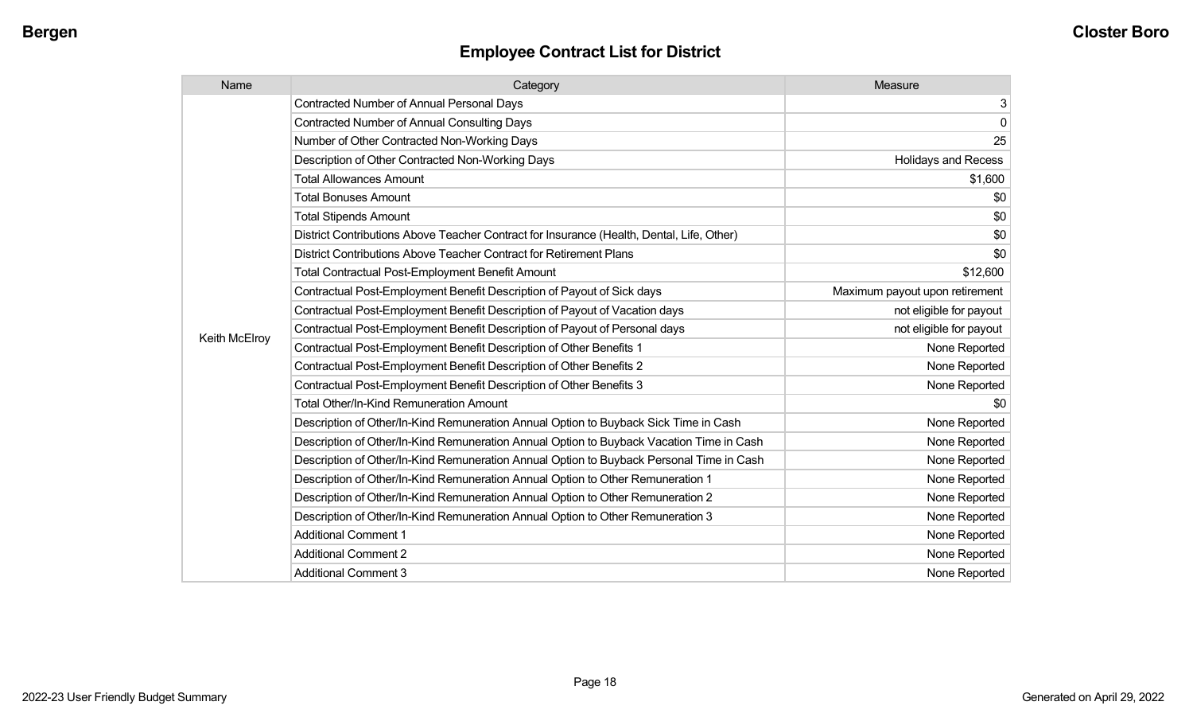| Name          | Category                                                                                  | Measure                        |
|---------------|-------------------------------------------------------------------------------------------|--------------------------------|
|               | <b>Contracted Number of Annual Personal Days</b>                                          | 3                              |
|               | <b>Contracted Number of Annual Consulting Days</b>                                        | $\mathbf 0$                    |
|               | Number of Other Contracted Non-Working Days                                               | 25                             |
|               | Description of Other Contracted Non-Working Days                                          | <b>Holidays and Recess</b>     |
|               | <b>Total Allowances Amount</b>                                                            | \$1,600                        |
|               | <b>Total Bonuses Amount</b>                                                               | \$0                            |
|               | <b>Total Stipends Amount</b>                                                              | \$0                            |
|               | District Contributions Above Teacher Contract for Insurance (Health, Dental, Life, Other) | \$0                            |
|               | District Contributions Above Teacher Contract for Retirement Plans                        | \$0                            |
|               | <b>Total Contractual Post-Employment Benefit Amount</b>                                   | \$12,600                       |
|               | Contractual Post-Employment Benefit Description of Payout of Sick days                    | Maximum payout upon retirement |
|               | Contractual Post-Employment Benefit Description of Payout of Vacation days                | not eligible for payout        |
|               | Contractual Post-Employment Benefit Description of Payout of Personal days                | not eligible for payout        |
| Keith McElroy | Contractual Post-Employment Benefit Description of Other Benefits 1                       | None Reported                  |
|               | Contractual Post-Employment Benefit Description of Other Benefits 2                       | None Reported                  |
|               | Contractual Post-Employment Benefit Description of Other Benefits 3                       | None Reported                  |
|               | <b>Total Other/In-Kind Remuneration Amount</b>                                            | \$0                            |
|               | Description of Other/In-Kind Remuneration Annual Option to Buyback Sick Time in Cash      | None Reported                  |
|               | Description of Other/In-Kind Remuneration Annual Option to Buyback Vacation Time in Cash  | None Reported                  |
|               | Description of Other/In-Kind Remuneration Annual Option to Buyback Personal Time in Cash  | None Reported                  |
|               | Description of Other/In-Kind Remuneration Annual Option to Other Remuneration 1           | None Reported                  |
|               | Description of Other/In-Kind Remuneration Annual Option to Other Remuneration 2           | None Reported                  |
|               | Description of Other/In-Kind Remuneration Annual Option to Other Remuneration 3           | None Reported                  |
|               | <b>Additional Comment 1</b>                                                               | None Reported                  |
|               | <b>Additional Comment 2</b>                                                               | None Reported                  |
|               | <b>Additional Comment 3</b>                                                               | None Reported                  |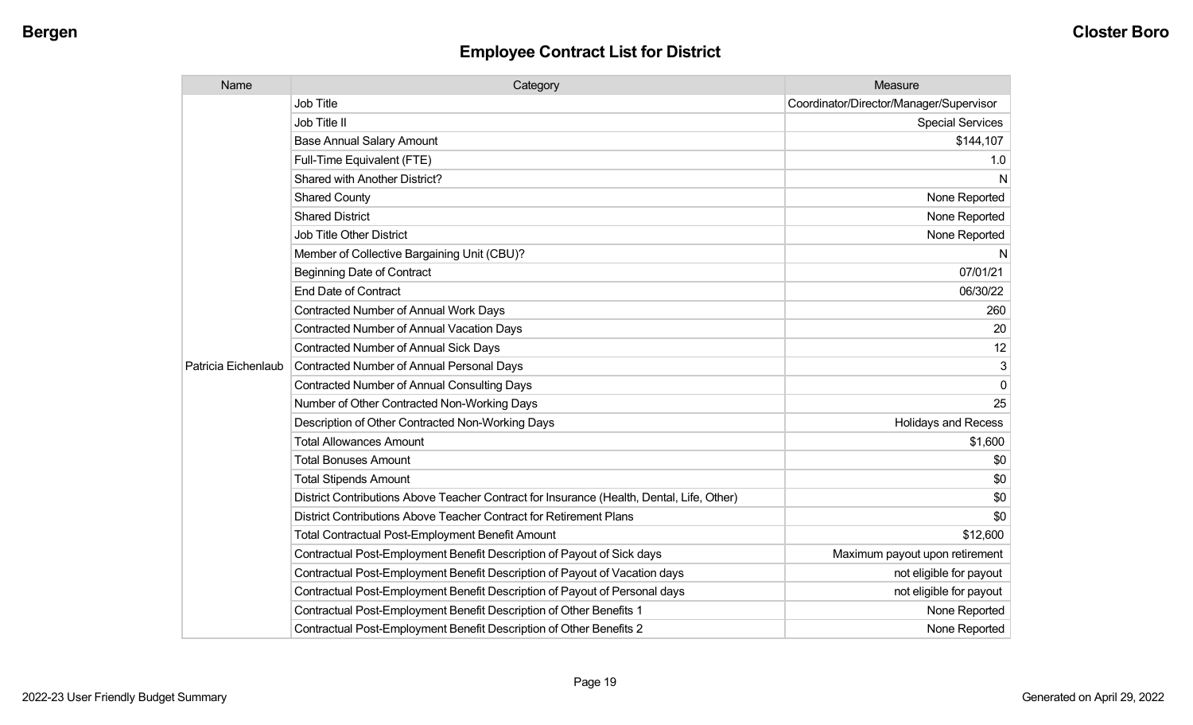| Name                | Category                                                                                  | Measure                                 |
|---------------------|-------------------------------------------------------------------------------------------|-----------------------------------------|
|                     | Job Title                                                                                 | Coordinator/Director/Manager/Supervisor |
|                     | Job Title II                                                                              | <b>Special Services</b>                 |
|                     | <b>Base Annual Salary Amount</b>                                                          | \$144,107                               |
|                     | Full-Time Equivalent (FTE)                                                                | 1.0                                     |
|                     | <b>Shared with Another District?</b>                                                      | N                                       |
|                     | <b>Shared County</b>                                                                      | None Reported                           |
|                     | <b>Shared District</b>                                                                    | None Reported                           |
|                     | <b>Job Title Other District</b>                                                           | None Reported                           |
|                     | Member of Collective Bargaining Unit (CBU)?                                               | N                                       |
|                     | <b>Beginning Date of Contract</b>                                                         | 07/01/21                                |
|                     | <b>End Date of Contract</b>                                                               | 06/30/22                                |
|                     | <b>Contracted Number of Annual Work Days</b>                                              | 260                                     |
|                     | <b>Contracted Number of Annual Vacation Days</b>                                          | 20                                      |
|                     | <b>Contracted Number of Annual Sick Days</b>                                              | 12                                      |
| Patricia Eichenlaub | <b>Contracted Number of Annual Personal Days</b>                                          | 3                                       |
|                     | <b>Contracted Number of Annual Consulting Days</b>                                        | $\Omega$                                |
|                     | Number of Other Contracted Non-Working Days                                               | 25                                      |
|                     | Description of Other Contracted Non-Working Days                                          | <b>Holidays and Recess</b>              |
|                     | <b>Total Allowances Amount</b>                                                            | \$1,600                                 |
|                     | <b>Total Bonuses Amount</b>                                                               | \$0                                     |
|                     | <b>Total Stipends Amount</b>                                                              | \$0                                     |
|                     | District Contributions Above Teacher Contract for Insurance (Health, Dental, Life, Other) | \$0                                     |
|                     | District Contributions Above Teacher Contract for Retirement Plans                        | \$0                                     |
|                     | <b>Total Contractual Post-Employment Benefit Amount</b>                                   | \$12,600                                |
|                     | Contractual Post-Employment Benefit Description of Payout of Sick days                    | Maximum payout upon retirement          |
|                     | Contractual Post-Employment Benefit Description of Payout of Vacation days                | not eligible for payout                 |
|                     | Contractual Post-Employment Benefit Description of Payout of Personal days                | not eligible for payout                 |
|                     | Contractual Post-Employment Benefit Description of Other Benefits 1                       | None Reported                           |
|                     | Contractual Post-Employment Benefit Description of Other Benefits 2                       | None Reported                           |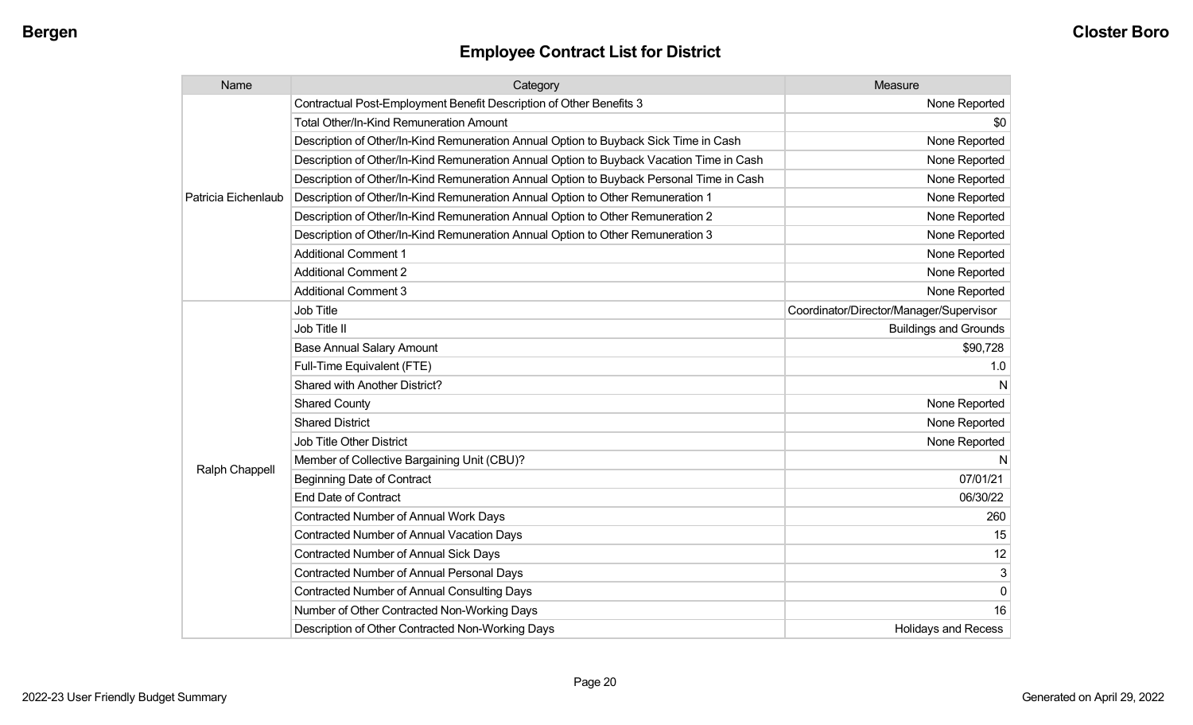| Name                | Category                                                                                 | Measure                                 |
|---------------------|------------------------------------------------------------------------------------------|-----------------------------------------|
|                     | Contractual Post-Employment Benefit Description of Other Benefits 3                      | None Reported                           |
|                     | Total Other/In-Kind Remuneration Amount                                                  | \$0                                     |
|                     | Description of Other/In-Kind Remuneration Annual Option to Buyback Sick Time in Cash     | None Reported                           |
|                     | Description of Other/In-Kind Remuneration Annual Option to Buyback Vacation Time in Cash | None Reported                           |
|                     | Description of Other/In-Kind Remuneration Annual Option to Buyback Personal Time in Cash | None Reported                           |
| Patricia Eichenlaub | Description of Other/In-Kind Remuneration Annual Option to Other Remuneration 1          | None Reported                           |
|                     | Description of Other/In-Kind Remuneration Annual Option to Other Remuneration 2          | None Reported                           |
|                     | Description of Other/In-Kind Remuneration Annual Option to Other Remuneration 3          | None Reported                           |
|                     | <b>Additional Comment 1</b>                                                              | None Reported                           |
|                     | <b>Additional Comment 2</b>                                                              | None Reported                           |
|                     | <b>Additional Comment 3</b>                                                              | None Reported                           |
|                     | Job Title                                                                                | Coordinator/Director/Manager/Supervisor |
|                     | Job Title II                                                                             | <b>Buildings and Grounds</b>            |
|                     | <b>Base Annual Salary Amount</b>                                                         | \$90,728                                |
|                     | Full-Time Equivalent (FTE)                                                               | 1.0                                     |
|                     | Shared with Another District?                                                            | N                                       |
|                     | <b>Shared County</b>                                                                     | None Reported                           |
|                     | <b>Shared District</b>                                                                   | None Reported                           |
|                     | Job Title Other District                                                                 | None Reported                           |
|                     | Member of Collective Bargaining Unit (CBU)?                                              | N                                       |
| Ralph Chappell      | <b>Beginning Date of Contract</b>                                                        | 07/01/21                                |
|                     | <b>End Date of Contract</b>                                                              | 06/30/22                                |
|                     | <b>Contracted Number of Annual Work Days</b>                                             | 260                                     |
|                     | <b>Contracted Number of Annual Vacation Days</b>                                         | 15                                      |
|                     | Contracted Number of Annual Sick Days                                                    | 12                                      |
|                     | Contracted Number of Annual Personal Days                                                | 3 <sup>1</sup>                          |
|                     | <b>Contracted Number of Annual Consulting Days</b>                                       | $\overline{0}$                          |
|                     | Number of Other Contracted Non-Working Days                                              | 16                                      |
|                     | Description of Other Contracted Non-Working Days                                         | <b>Holidays and Recess</b>              |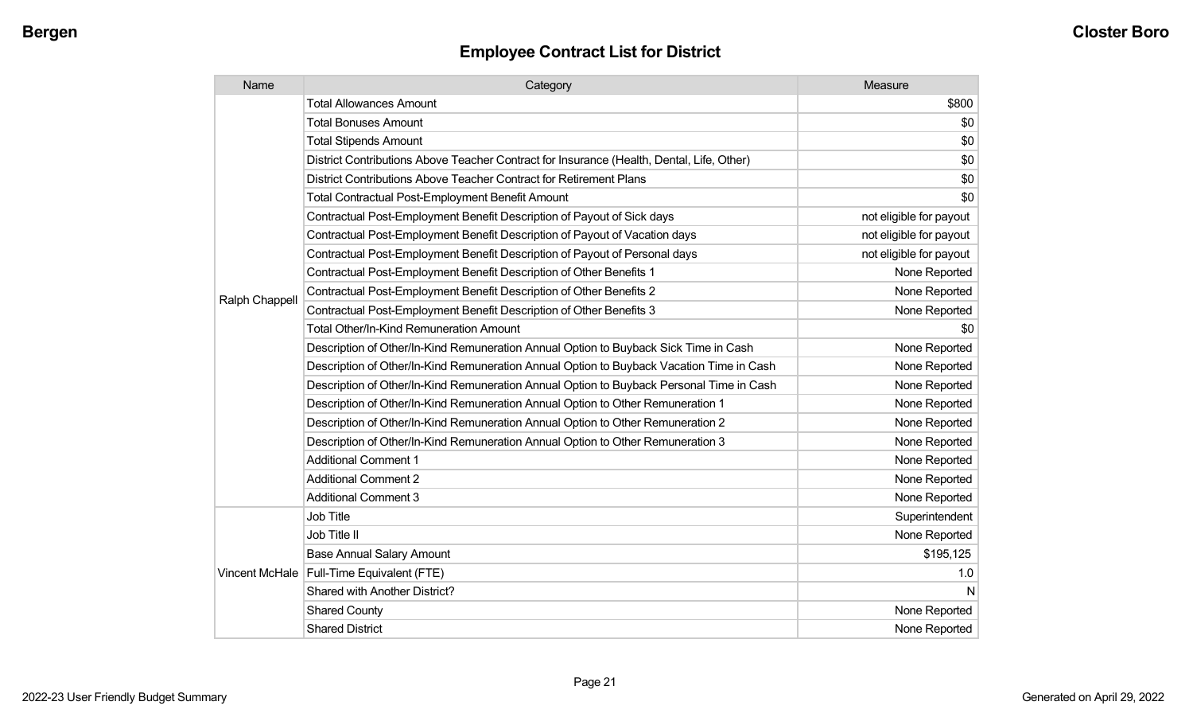| Name           | Category                                                                                  | Measure                 |
|----------------|-------------------------------------------------------------------------------------------|-------------------------|
|                | <b>Total Allowances Amount</b>                                                            | \$800                   |
|                | <b>Total Bonuses Amount</b>                                                               | \$0                     |
|                | <b>Total Stipends Amount</b>                                                              | \$0                     |
|                | District Contributions Above Teacher Contract for Insurance (Health, Dental, Life, Other) | \$0                     |
|                | District Contributions Above Teacher Contract for Retirement Plans                        | \$0                     |
|                | <b>Total Contractual Post-Employment Benefit Amount</b>                                   | \$0                     |
|                | Contractual Post-Employment Benefit Description of Payout of Sick days                    | not eligible for payout |
|                | Contractual Post-Employment Benefit Description of Payout of Vacation days                | not eligible for payout |
|                | Contractual Post-Employment Benefit Description of Payout of Personal days                | not eligible for payout |
|                | Contractual Post-Employment Benefit Description of Other Benefits 1                       | None Reported           |
|                | Contractual Post-Employment Benefit Description of Other Benefits 2                       | None Reported           |
| Ralph Chappell | Contractual Post-Employment Benefit Description of Other Benefits 3                       | None Reported           |
|                | <b>Total Other/In-Kind Remuneration Amount</b>                                            | \$0                     |
|                | Description of Other/In-Kind Remuneration Annual Option to Buyback Sick Time in Cash      | None Reported           |
|                | Description of Other/In-Kind Remuneration Annual Option to Buyback Vacation Time in Cash  | None Reported           |
|                | Description of Other/In-Kind Remuneration Annual Option to Buyback Personal Time in Cash  | None Reported           |
|                | Description of Other/In-Kind Remuneration Annual Option to Other Remuneration 1           | None Reported           |
|                | Description of Other/In-Kind Remuneration Annual Option to Other Remuneration 2           | None Reported           |
|                | Description of Other/In-Kind Remuneration Annual Option to Other Remuneration 3           | None Reported           |
|                | <b>Additional Comment 1</b>                                                               | None Reported           |
|                | <b>Additional Comment 2</b>                                                               | None Reported           |
|                | <b>Additional Comment 3</b>                                                               | None Reported           |
|                | Job Title                                                                                 | Superintendent          |
|                | Job Title II                                                                              | None Reported           |
|                | <b>Base Annual Salary Amount</b>                                                          | \$195,125               |
|                | Vincent McHale   Full-Time Equivalent (FTE)                                               | 1.0                     |
|                | Shared with Another District?                                                             | N                       |
|                | <b>Shared County</b>                                                                      | None Reported           |
|                | <b>Shared District</b>                                                                    | None Reported           |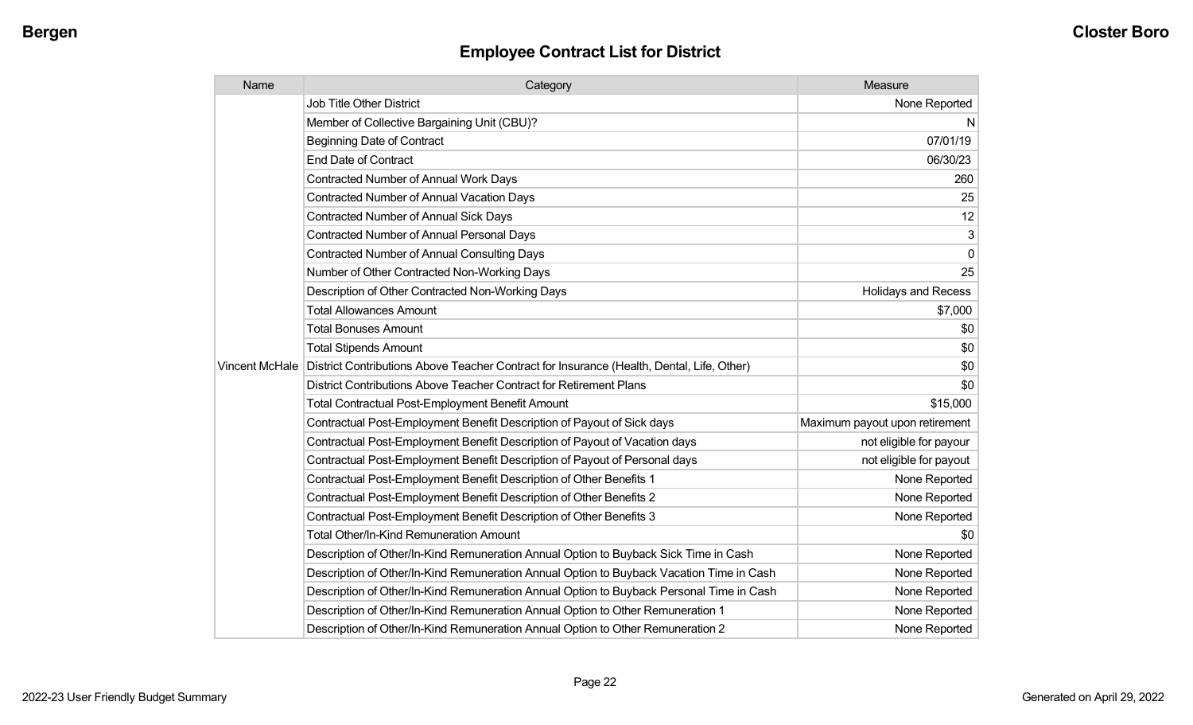| Name | Category                                                                                                   | Measure                        |
|------|------------------------------------------------------------------------------------------------------------|--------------------------------|
|      | <b>Job Title Other District</b>                                                                            | None Reported                  |
|      | Member of Collective Bargaining Unit (CBU)?                                                                | N,                             |
|      | <b>Beginning Date of Contract</b>                                                                          | 07/01/19                       |
|      | <b>End Date of Contract</b>                                                                                | 06/30/23                       |
|      | <b>Contracted Number of Annual Work Days</b>                                                               | 260                            |
|      | <b>Contracted Number of Annual Vacation Days</b>                                                           | 25                             |
|      | <b>Contracted Number of Annual Sick Days</b>                                                               | 12                             |
|      | Contracted Number of Annual Personal Days                                                                  | 3                              |
|      | <b>Contracted Number of Annual Consulting Days</b>                                                         | $\overline{0}$                 |
|      | Number of Other Contracted Non-Working Days                                                                | 25                             |
|      | Description of Other Contracted Non-Working Days                                                           | <b>Holidays and Recess</b>     |
|      | <b>Total Allowances Amount</b>                                                                             | \$7,000                        |
|      | <b>Total Bonuses Amount</b>                                                                                | \$0                            |
|      | <b>Total Stipends Amount</b>                                                                               | \$0                            |
|      | Vincent McHale   District Contributions Above Teacher Contract for Insurance (Health, Dental, Life, Other) | \$0                            |
|      | District Contributions Above Teacher Contract for Retirement Plans                                         | \$0                            |
|      | <b>Total Contractual Post-Employment Benefit Amount</b>                                                    | \$15,000                       |
|      | Contractual Post-Employment Benefit Description of Payout of Sick days                                     | Maximum payout upon retirement |
|      | Contractual Post-Employment Benefit Description of Payout of Vacation days                                 | not eligible for payour        |
|      | Contractual Post-Employment Benefit Description of Payout of Personal days                                 | not eligible for payout        |
|      | Contractual Post-Employment Benefit Description of Other Benefits 1                                        | None Reported                  |
|      | Contractual Post-Employment Benefit Description of Other Benefits 2                                        | None Reported                  |
|      | Contractual Post-Employment Benefit Description of Other Benefits 3                                        | None Reported                  |
|      | <b>Total Other/In-Kind Remuneration Amount</b>                                                             | \$0                            |
|      | Description of Other/In-Kind Remuneration Annual Option to Buyback Sick Time in Cash                       | None Reported                  |
|      | Description of Other/In-Kind Remuneration Annual Option to Buyback Vacation Time in Cash                   | None Reported                  |
|      | Description of Other/In-Kind Remuneration Annual Option to Buyback Personal Time in Cash                   | None Reported                  |
|      | Description of Other/In-Kind Remuneration Annual Option to Other Remuneration 1                            | None Reported                  |
|      | Description of Other/In-Kind Remuneration Annual Option to Other Remuneration 2                            | None Reported                  |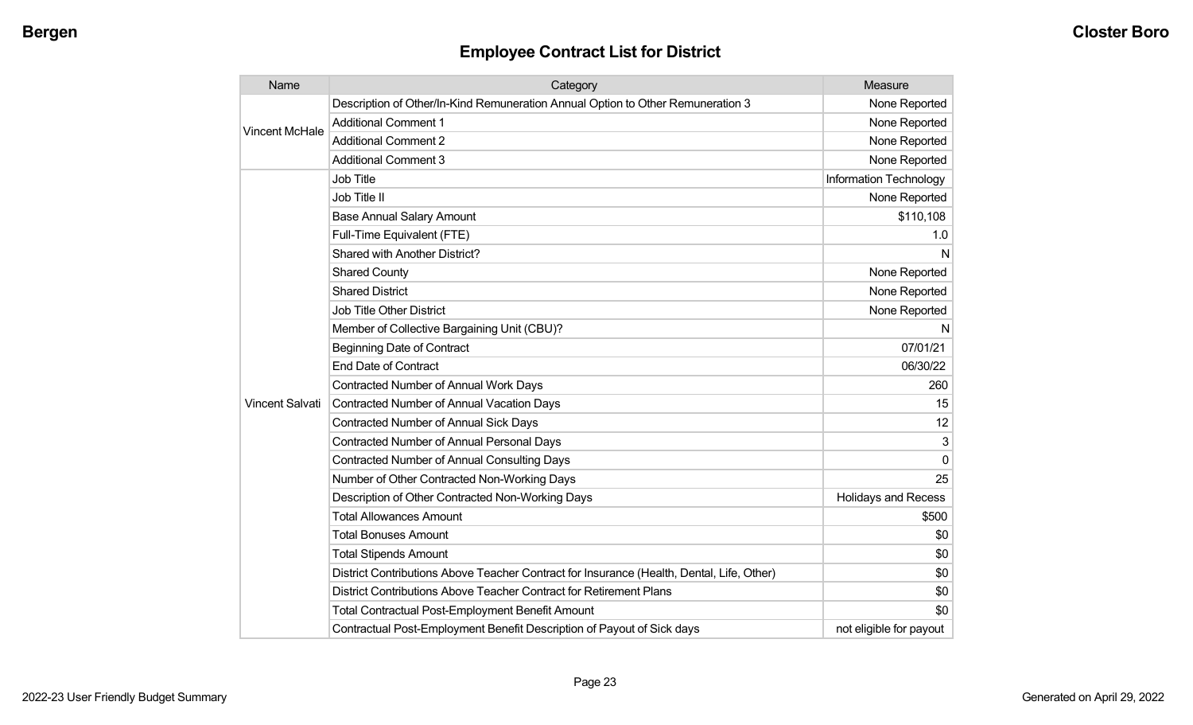| Name                   | Category                                                                                  | Measure                       |
|------------------------|-------------------------------------------------------------------------------------------|-------------------------------|
|                        | Description of Other/In-Kind Remuneration Annual Option to Other Remuneration 3           | None Reported                 |
| <b>Vincent McHale</b>  | <b>Additional Comment 1</b>                                                               | None Reported                 |
|                        | <b>Additional Comment 2</b>                                                               | None Reported                 |
|                        | <b>Additional Comment 3</b>                                                               | None Reported                 |
|                        | Job Title                                                                                 | <b>Information Technology</b> |
|                        | Job Title II                                                                              | None Reported                 |
|                        | <b>Base Annual Salary Amount</b>                                                          | \$110,108                     |
|                        | Full-Time Equivalent (FTE)                                                                | 1.0                           |
|                        | Shared with Another District?                                                             | N                             |
|                        | <b>Shared County</b>                                                                      | None Reported                 |
|                        | <b>Shared District</b>                                                                    | None Reported                 |
|                        | Job Title Other District                                                                  | None Reported                 |
|                        | Member of Collective Bargaining Unit (CBU)?                                               | N                             |
|                        | <b>Beginning Date of Contract</b>                                                         | 07/01/21                      |
|                        | <b>End Date of Contract</b>                                                               | 06/30/22                      |
|                        | <b>Contracted Number of Annual Work Days</b>                                              | 260                           |
| <b>Vincent Salvati</b> | <b>Contracted Number of Annual Vacation Days</b>                                          | 15                            |
|                        | Contracted Number of Annual Sick Days                                                     | 12                            |
|                        | <b>Contracted Number of Annual Personal Days</b>                                          | 3                             |
|                        | <b>Contracted Number of Annual Consulting Days</b>                                        | $\mathbf 0$                   |
|                        | Number of Other Contracted Non-Working Days                                               | 25                            |
|                        | Description of Other Contracted Non-Working Days                                          | <b>Holidays and Recess</b>    |
|                        | <b>Total Allowances Amount</b>                                                            | \$500                         |
|                        | <b>Total Bonuses Amount</b>                                                               | \$0                           |
|                        | <b>Total Stipends Amount</b>                                                              | \$0                           |
|                        | District Contributions Above Teacher Contract for Insurance (Health, Dental, Life, Other) | \$0                           |
|                        | District Contributions Above Teacher Contract for Retirement Plans                        | \$0                           |
|                        | <b>Total Contractual Post-Employment Benefit Amount</b>                                   | \$0                           |
|                        | Contractual Post-Employment Benefit Description of Payout of Sick days                    | not eligible for payout       |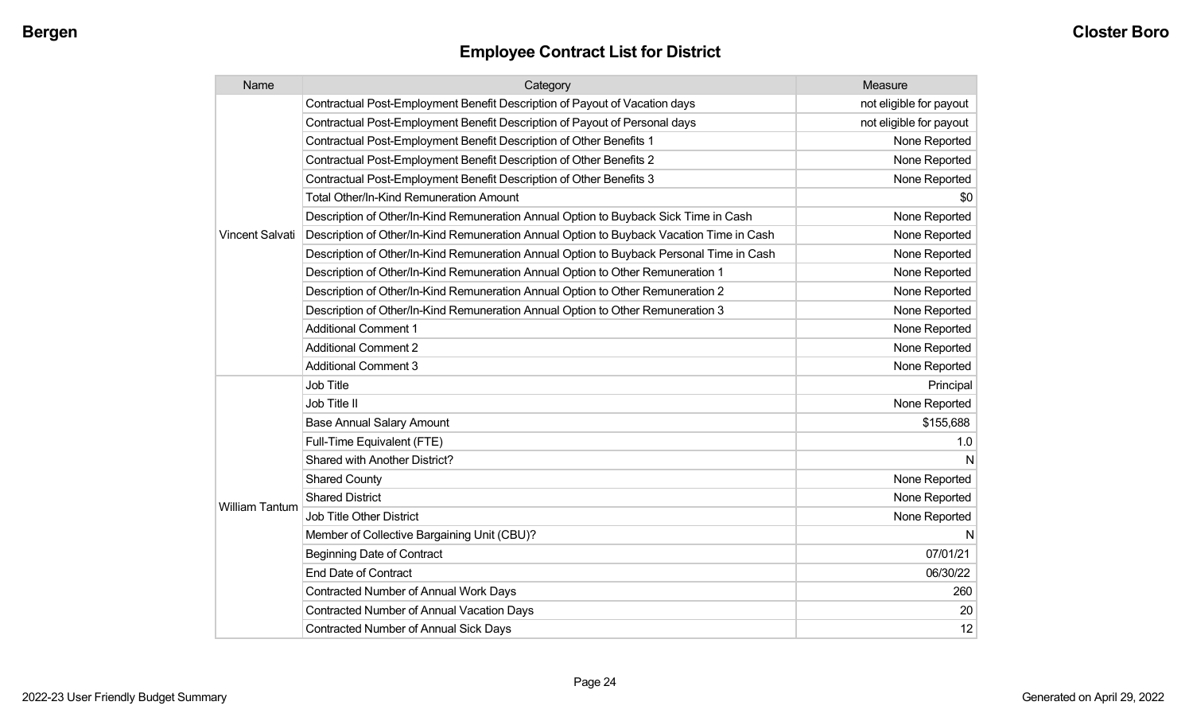| Name                  | Category                                                                                 | Measure                 |
|-----------------------|------------------------------------------------------------------------------------------|-------------------------|
|                       | Contractual Post-Employment Benefit Description of Payout of Vacation days               | not eligible for payout |
|                       | Contractual Post-Employment Benefit Description of Payout of Personal days               | not eligible for payout |
|                       | Contractual Post-Employment Benefit Description of Other Benefits 1                      | None Reported           |
|                       | Contractual Post-Employment Benefit Description of Other Benefits 2                      | None Reported           |
|                       | Contractual Post-Employment Benefit Description of Other Benefits 3                      | None Reported           |
|                       | Total Other/In-Kind Remuneration Amount                                                  | \$0                     |
|                       | Description of Other/In-Kind Remuneration Annual Option to Buyback Sick Time in Cash     | None Reported           |
| Vincent Salvati       | Description of Other/In-Kind Remuneration Annual Option to Buyback Vacation Time in Cash | None Reported           |
|                       | Description of Other/In-Kind Remuneration Annual Option to Buyback Personal Time in Cash | None Reported           |
|                       | Description of Other/In-Kind Remuneration Annual Option to Other Remuneration 1          | None Reported           |
|                       | Description of Other/In-Kind Remuneration Annual Option to Other Remuneration 2          | None Reported           |
|                       | Description of Other/In-Kind Remuneration Annual Option to Other Remuneration 3          | None Reported           |
|                       | <b>Additional Comment 1</b>                                                              | None Reported           |
|                       | <b>Additional Comment 2</b>                                                              | None Reported           |
|                       | <b>Additional Comment 3</b>                                                              | None Reported           |
|                       | <b>Job Title</b>                                                                         | Principal               |
|                       | Job Title II                                                                             | None Reported           |
|                       | <b>Base Annual Salary Amount</b>                                                         | \$155,688               |
|                       | Full-Time Equivalent (FTE)                                                               | 1.0                     |
|                       | Shared with Another District?                                                            | N                       |
|                       | <b>Shared County</b>                                                                     | None Reported           |
|                       | <b>Shared District</b>                                                                   | None Reported           |
| <b>William Tantum</b> | <b>Job Title Other District</b>                                                          | None Reported           |
|                       | Member of Collective Bargaining Unit (CBU)?                                              | N                       |
|                       | <b>Beginning Date of Contract</b>                                                        | 07/01/21                |
|                       | <b>End Date of Contract</b>                                                              | 06/30/22                |
|                       | <b>Contracted Number of Annual Work Days</b>                                             | 260                     |
|                       | Contracted Number of Annual Vacation Days                                                | 20                      |
|                       | <b>Contracted Number of Annual Sick Days</b>                                             | 12                      |